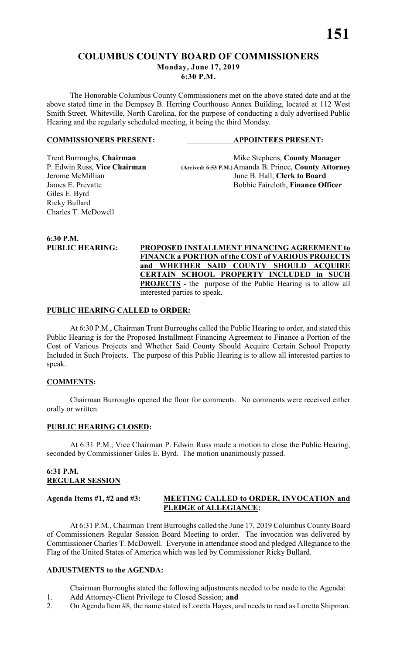### **COLUMBUS COUNTY BOARD OF COMMISSIONERS Monday, June 17, 2019**

**6:30 P.M.**

The Honorable Columbus County Commissioners met on the above stated date and at the above stated time in the Dempsey B. Herring Courthouse Annex Building, located at 112 West Smith Street, Whiteville, North Carolina, for the purpose of conducting a duly advertised Public Hearing and the regularly scheduled meeting, it being the third Monday.

### **COMMISSIONERS PRESENT: APPOINTEES PRESENT:**

Giles E. Byrd Ricky Bullard Charles T. McDowell

Trent Burroughs, **Chairman** Mike Stephens, **County Manager** P. Edwin Russ, Vice Chairman (Arrived: 6:53 P.M.) Amanda B. Prince, **County Attorn** P. Edwin Russ, **Vice Chairman (Arrived: 6:53 P.M.)**Amanda B. Prince, **County Attorney** June B. Hall, Clerk to Board James E. Prevatte **Bobbie Faircloth**, **Finance Officer** 

**6:30 P.M.**

**PUBLIC HEARING: PROPOSED INSTALLMENT FINANCING AGREEMENT to FINANCE a PORTION of the COST of VARIOUS PROJECTS and WHETHER SAID COUNTY SHOULD ACQUIRE CERTAIN SCHOOL PROPERTY INCLUDED in SUCH PROJECTS** - the purpose of the Public Hearing is to allow all interested parties to speak.

### **PUBLIC HEARING CALLED to ORDER:**

At 6:30 P.M., Chairman Trent Burroughs called the Public Hearing to order, and stated this Public Hearing is for the Proposed Installment Financing Agreement to Finance a Portion of the Cost of Various Projects and Whether Said County Should Acquire Certain School Property Included in Such Projects. The purpose of this Public Hearing is to allow all interested parties to speak.

### **COMMENTS:**

Chairman Burroughs opened the floor for comments. No comments were received either orally or written.

### **PUBLIC HEARING CLOSED:**

At 6:31 P.M., Vice Chairman P. Edwin Russ made a motion to close the Public Hearing, seconded by Commissioner Giles E. Byrd. The motion unanimously passed.

### **6:31 P.M. REGULAR SESSION**

### **Agenda Items #1, #2 and #3: MEETING CALLED to ORDER, INVOCATION and PLEDGE of ALLEGIANCE:**

At 6:31 P.M., Chairman Trent Burroughs called the June 17, 2019 Columbus County Board of Commissioners Regular Session Board Meeting to order. The invocation was delivered by Commissioner Charles T. McDowell. Everyone in attendance stood and pledged Allegiance to the Flag of the United States of America which was led by Commissioner Ricky Bullard.

# **ADJUSTMENTS to the AGENDA:**

Chairman Burroughs stated the following adjustments needed to be made to the Agenda: 1. Add Attorney-Client Privilege to Closed Session; **and**

2. On Agenda Item #8, the name stated is Loretta Hayes, and needs to read as Loretta Shipman.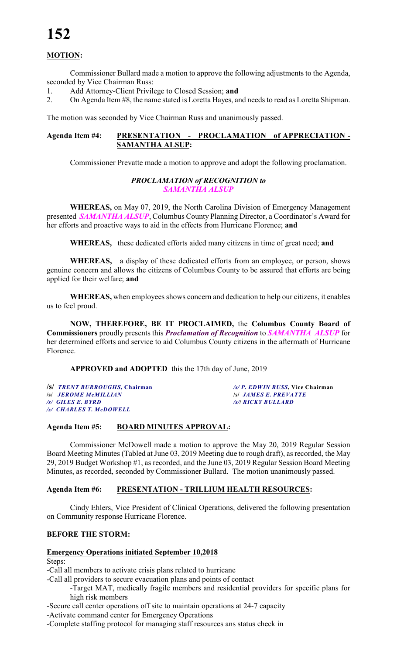# **MOTION:**

Commissioner Bullard made a motion to approve the following adjustments to the Agenda, seconded by Vice Chairman Russ:

1. Add Attorney-Client Privilege to Closed Session; **and**

2. On Agenda Item #8, the name stated is Loretta Hayes, and needs to read as Loretta Shipman.

The motion was seconded by Vice Chairman Russ and unanimously passed.

### **Agenda Item #4: PRESENTATION - PROCLAMATION of APPRECIATION - SAMANTHA ALSUP:**

Commissioner Prevatte made a motion to approve and adopt the following proclamation.

### *PROCLAMATION of RECOGNITION to SAMANTHA ALSUP*

**WHEREAS,** on May 07, 2019, the North Carolina Division of Emergency Management presented *SAMANTHA ALSUP*, Columbus County Planning Director, a Coordinator's Award for her efforts and proactive ways to aid in the effects from Hurricane Florence; **and**

**WHEREAS,** these dedicated efforts aided many citizens in time of great need; **and**

**WHEREAS,** a display of these dedicated efforts from an employee, or person, shows genuine concern and allows the citizens of Columbus County to be assured that efforts are being applied for their welfare; **and**

**WHEREAS,** when employees shows concern and dedication to help our citizens, it enables us to feel proud.

**NOW, THEREFORE, BE IT PROCLAIMED,** the **Columbus County Board of Commissioners** proudly presents this *Proclamation of Recognition* to *SAMANTHA ALSUP* for her determined efforts and service to aid Columbus County citizens in the aftermath of Hurricane Florence.

**APPROVED and ADOPTED** this the 17th day of June, 2019

**/s/** *TRENT BURROUGHS***, Chairman** */s/ P. EDWIN RUSS***, Vice Chairman /s/** *JEROME McMILLIAN* **/s/** *JAMES E. PREVATTE /s/ CHARLES T. McDOWELL*

*/s/ GILES E. BYRD**/s/***/** *RICKY BULLARD*

### **Agenda Item #5: BOARD MINUTES APPROVAL:**

Commissioner McDowell made a motion to approve the May 20, 2019 Regular Session Board Meeting Minutes (Tabled at June 03, 2019 Meeting due to rough draft), as recorded, the May 29, 2019 Budget Workshop #1, as recorded, and the June 03, 2019 Regular Session Board Meeting Minutes, as recorded, seconded by Commissioner Bullard. The motion unanimously passed.

### **Agenda Item #6: PRESENTATION - TRILLIUM HEALTH RESOURCES:**

Cindy Ehlers, Vice President of Clinical Operations, delivered the following presentation on Community response Hurricane Florence.

### **BEFORE THE STORM:**

#### **Emergency Operations initiated September 10,2018**

Steps:

-Call all members to activate crisis plans related to hurricane

-Call all providers to secure evacuation plans and points of contact

-Target MAT, medically fragile members and residential providers for specific plans for high risk members

-Secure call center operations off site to maintain operations at 24-7 capacity

-Activate command center for Emergency Operations

-Complete staffing protocol for managing staff resources ans status check in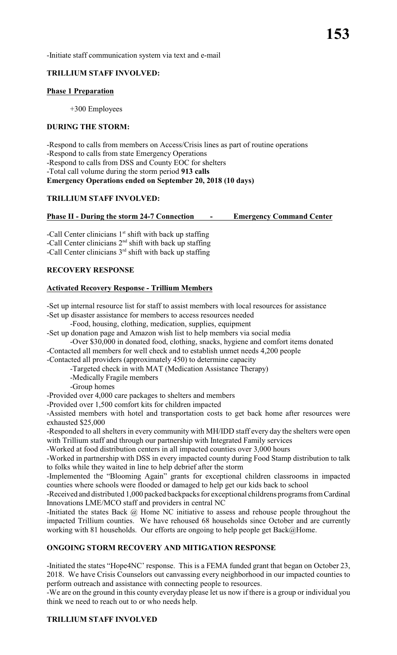-Initiate staff communication system via text and e-mail

### **TRILLIUM STAFF INVOLVED:**

### **Phase 1 Preparation**

+300 Employees

# **DURING THE STORM:**

-Respond to calls from members on Access/Crisis lines as part of routine operations -Respond to calls from state Emergency Operations -Respond to calls from DSS and County EOC for shelters -Total call volume during the storm period **913 calls Emergency Operations ended on September 20, 2018 (10 days)**

# **TRILLIUM STAFF INVOLVED:**

# **Phase II - During the storm 24-7 Connection - Emergency Command Center**

-Call Center clinicians  $1<sup>st</sup>$  shift with back up staffing -Call Center clinicians  $2<sup>nd</sup>$  shift with back up staffing -Call Center clinicians  $3<sup>rd</sup>$  shift with back up staffing

# **RECOVERY RESPONSE**

# **Activated Recovery Response - Trillium Members**

-Set up internal resource list for staff to assist members with local resources for assistance -Set up disaster assistance for members to access resources needed

-Food, housing, clothing, medication, supplies, equipment

-Set up donation page and Amazon wish list to help members via social media

-Over \$30,000 in donated food, clothing, snacks, hygiene and comfort items donated -Contacted all members for well check and to establish unmet needs 4,200 people

-Contacted all providers (approximately 450) to determine capacity

-Targeted check in with MAT (Medication Assistance Therapy)

- -Medically Fragile members
- -Group homes

-Provided over 4,000 care packages to shelters and members

-Provided over 1,500 comfort kits for children impacted

-Assisted members with hotel and transportation costs to get back home after resources were exhausted \$25,000

-Responded to all shelters in every community with MH/IDD staff every day the shelters were open with Trillium staff and through our partnership with Integrated Family services

-Worked at food distribution centers in all impacted counties over 3,000 hours

-Worked in partnership with DSS in every impacted county during Food Stamp distribution to talk to folks while they waited in line to help debrief after the storm

-Implemented the "Blooming Again" grants for exceptional children classrooms in impacted counties where schools were flooded or damaged to help get our kids back to school

-Received and distributed 1,000 packed backpacks for exceptional childrens programs from Cardinal Innovations LME/MCO staff and providers in central NC

-Initiated the states Back @ Home NC initiative to assess and rehouse people throughout the impacted Trillium counties. We have rehoused 68 households since October and are currently working with 81 households. Our efforts are ongoing to help people get Back@Home.

# **ONGOING STORM RECOVERY AND MITIGATION RESPONSE**

-Initiated the states "Hope4NC' response. This is a FEMA funded grant that began on October 23, 2018. We have Crisis Counselors out canvassing every neighborhood in our impacted counties to perform outreach and assistance with connecting people to resources.

-We are on the ground in this county everyday please let us now if there is a group or individual you think we need to reach out to or who needs help.

# **TRILLIUM STAFF INVOLVED**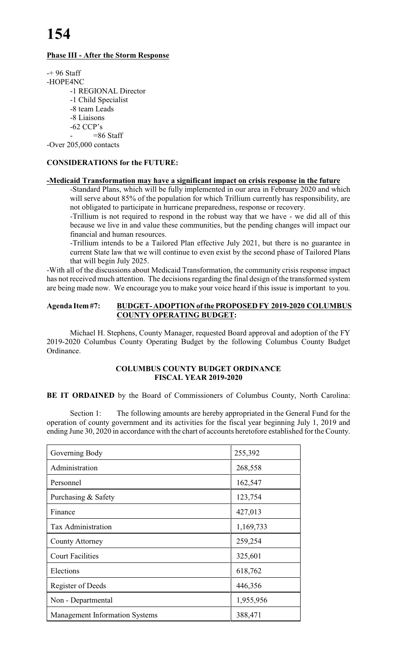### **Phase III - After the Storm Response**

 $-+96$  Staff -HOPE4NC -1 REGIONAL Director -1 Child Specialist -8 team Leads -8 Liaisons -62 CCP's  $= 86$  Staff

-Over 205,000 contacts

### **CONSIDERATIONS for the FUTURE:**

#### **-Medicaid Transformation may have a significant impact on crisis response in the future**

-Standard Plans, which will be fully implemented in our area in February 2020 and which will serve about 85% of the population for which Trillium currently has responsibility, are not obligated to participate in hurricane preparedness, response or recovery.

-Trillium is not required to respond in the robust way that we have - we did all of this because we live in and value these communities, but the pending changes will impact our financial and human resources.

-Trillium intends to be a Tailored Plan effective July 2021, but there is no guarantee in current State law that we will continue to even exist by the second phase of Tailored Plans that will begin July 2025.

-With all of the discussions about Medicaid Transformation, the community crisis response impact has not received much attention. The decisions regarding the final design of the transformed system are being made now. We encourage you to make your voice heard if this issue is important to you.

### **Agenda Item #7: BUDGET- ADOPTION of the PROPOSED FY 2019-2020 COLUMBUS COUNTY OPERATING BUDGET:**

Michael H. Stephens, County Manager, requested Board approval and adoption of the FY 2019-2020 Columbus County Operating Budget by the following Columbus County Budget Ordinance.

### **COLUMBUS COUNTY BUDGET ORDINANCE FISCAL YEAR 2019-2020**

**BE IT ORDAINED** by the Board of Commissioners of Columbus County, North Carolina:

Section 1: The following amounts are hereby appropriated in the General Fund for the operation of county government and its activities for the fiscal year beginning July 1, 2019 and ending June 30, 2020 in accordance with the chart of accounts heretofore established for the County.

| Governing Body                        | 255,392   |
|---------------------------------------|-----------|
| Administration                        | 268,558   |
| Personnel                             | 162,547   |
| Purchasing & Safety                   | 123,754   |
| Finance                               | 427,013   |
| <b>Tax Administration</b>             | 1,169,733 |
| <b>County Attorney</b>                | 259,254   |
| <b>Court Facilities</b>               | 325,601   |
| Elections                             | 618,762   |
| Register of Deeds                     | 446,356   |
| Non - Departmental                    | 1,955,956 |
| <b>Management Information Systems</b> | 388,471   |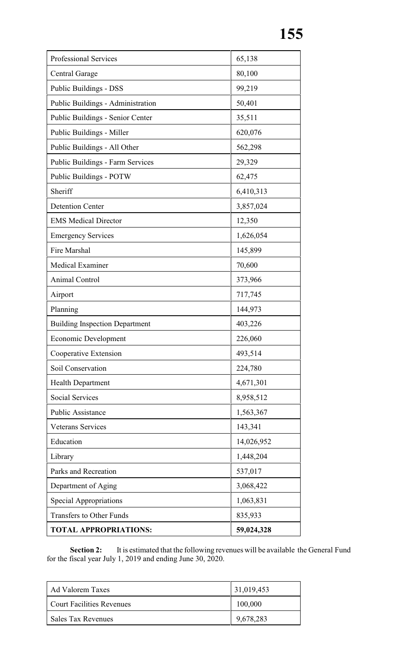| Professional Services                 | 65,138     |
|---------------------------------------|------------|
| <b>Central Garage</b>                 | 80,100     |
| Public Buildings - DSS                | 99,219     |
| Public Buildings - Administration     | 50,401     |
| Public Buildings - Senior Center      | 35,511     |
| Public Buildings - Miller             | 620,076    |
| Public Buildings - All Other          | 562,298    |
| Public Buildings - Farm Services      | 29,329     |
| <b>Public Buildings - POTW</b>        | 62,475     |
| Sheriff                               | 6,410,313  |
| <b>Detention Center</b>               | 3,857,024  |
| <b>EMS</b> Medical Director           | 12,350     |
| <b>Emergency Services</b>             | 1,626,054  |
| Fire Marshal                          | 145,899    |
| Medical Examiner                      | 70,600     |
| <b>Animal Control</b>                 | 373,966    |
| Airport                               | 717,745    |
| Planning                              | 144,973    |
| <b>Building Inspection Department</b> | 403,226    |
| <b>Economic Development</b>           | 226,060    |
| Cooperative Extension                 | 493,514    |
| Soil Conservation                     | 224,780    |
| <b>Health Department</b>              | 4,671,301  |
| <b>Social Services</b>                | 8,958,512  |
| Public Assistance                     | 1,563,367  |
| <b>Veterans Services</b>              | 143,341    |
| Education                             | 14,026,952 |
| Library                               | 1,448,204  |
| Parks and Recreation                  | 537,017    |
| Department of Aging                   | 3,068,422  |
| <b>Special Appropriations</b>         | 1,063,831  |
| <b>Transfers to Other Funds</b>       | 835,933    |
| <b>TOTAL APPROPRIATIONS:</b>          | 59,024,328 |

**Section 2:** It is estimated that the following revenues will be available the General Fund for the fiscal year July 1, 2019 and ending June 30, 2020.

| <b>Ad Valorem Taxes</b>          | 31,019,453 |
|----------------------------------|------------|
| <b>Court Facilities Revenues</b> | 100,000    |
| Sales Tax Revenues               | 9,678,283  |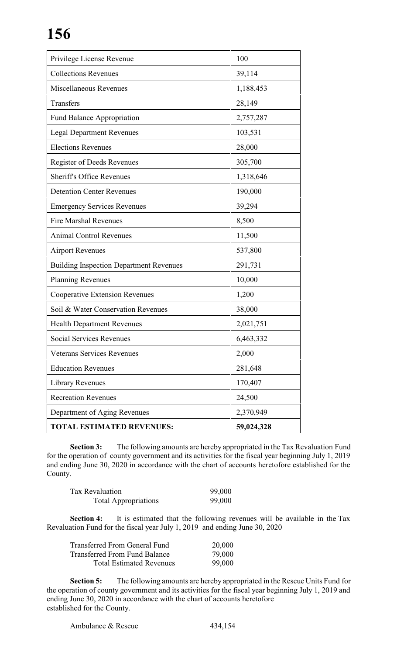| Privilege License Revenue                      | 100        |
|------------------------------------------------|------------|
| <b>Collections Revenues</b>                    | 39,114     |
| Miscellaneous Revenues                         | 1,188,453  |
| Transfers                                      | 28,149     |
| <b>Fund Balance Appropriation</b>              | 2,757,287  |
| <b>Legal Department Revenues</b>               | 103,531    |
| <b>Elections Revenues</b>                      | 28,000     |
| Register of Deeds Revenues                     | 305,700    |
| <b>Sheriff's Office Revenues</b>               | 1,318,646  |
| <b>Detention Center Revenues</b>               | 190,000    |
| <b>Emergency Services Revenues</b>             | 39,294     |
| <b>Fire Marshal Revenues</b>                   | 8,500      |
| <b>Animal Control Revenues</b>                 | 11,500     |
| <b>Airport Revenues</b>                        | 537,800    |
| <b>Building Inspection Department Revenues</b> | 291,731    |
| <b>Planning Revenues</b>                       | 10,000     |
| <b>Cooperative Extension Revenues</b>          | 1,200      |
| Soil & Water Conservation Revenues             | 38,000     |
| <b>Health Department Revenues</b>              | 2,021,751  |
| Social Services Revenues                       | 6,463,332  |
| <b>Veterans Services Revenues</b>              | 2,000      |
| <b>Education Revenues</b>                      | 281,648    |
| <b>Library Revenues</b>                        | 170,407    |
| <b>Recreation Revenues</b>                     | 24,500     |
| Department of Aging Revenues                   | 2,370,949  |
| <b>TOTAL ESTIMATED REVENUES:</b>               | 59,024,328 |

**Section 3:** The following amounts are hereby appropriated in the Tax Revaluation Fund for the operation of county government and its activities for the fiscal year beginning July 1, 2019 and ending June 30, 2020 in accordance with the chart of accounts heretofore established for the County.

| <b>Tax Revaluation</b>      | 99,000 |
|-----------------------------|--------|
| <b>Total Appropriations</b> | 99,000 |

**Section 4:** It is estimated that the following revenues will be available in the Tax Revaluation Fund for the fiscal year July 1, 2019 and ending June 30, 2020

| Transferred From General Fund   | 20,000 |
|---------------------------------|--------|
| Transferred From Fund Balance   | 79,000 |
| <b>Total Estimated Revenues</b> | 99,000 |

**Section 5:** The following amounts are hereby appropriated in the Rescue Units Fund for the operation of county government and its activities for the fiscal year beginning July 1, 2019 and ending June 30, 2020 in accordance with the chart of accounts heretofore established for the County.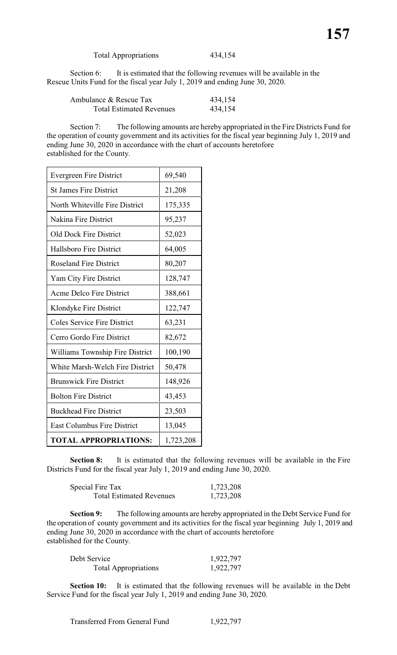Total Appropriations 434,154

Section 6: It is estimated that the following revenues will be available in the Rescue Units Fund for the fiscal year July 1, 2019 and ending June 30, 2020.

| Ambulance & Rescue Tax          | 434,154 |
|---------------------------------|---------|
| <b>Total Estimated Revenues</b> | 434,154 |

Section 7: The following amounts are hereby appropriated in the Fire Districts Fund for the operation of county government and its activities for the fiscal year beginning July 1, 2019 and ending June 30, 2020 in accordance with the chart of accounts heretofore established for the County.

| <b>Evergreen Fire District</b>     | 69,540    |
|------------------------------------|-----------|
| <b>St James Fire District</b>      | 21,208    |
| North Whiteville Fire District     | 175,335   |
| Nakina Fire District               | 95,237    |
| <b>Old Dock Fire District</b>      | 52,023    |
| <b>Hallsboro Fire District</b>     | 64,005    |
| <b>Roseland Fire District</b>      | 80,207    |
| Yam City Fire District             | 128,747   |
| Acme Delco Fire District           | 388,661   |
| Klondyke Fire District             | 122,747   |
| <b>Coles Service Fire District</b> | 63,231    |
| Cerro Gordo Fire District          | 82,672    |
| Williams Township Fire District    | 100,190   |
| White Marsh-Welch Fire District    | 50,478    |
| <b>Brunswick Fire District</b>     | 148,926   |
| <b>Bolton Fire District</b>        | 43,453    |
| <b>Buckhead Fire District</b>      | 23,503    |
| <b>East Columbus Fire District</b> | 13,045    |
| <b>TOTAL APPROPRIATIONS:</b>       | 1,723,208 |

**Section 8:** It is estimated that the following revenues will be available in the Fire Districts Fund for the fiscal year July 1, 2019 and ending June 30, 2020.

| Special Fire Tax                | 1,723,208 |
|---------------------------------|-----------|
| <b>Total Estimated Revenues</b> | 1,723,208 |

**Section 9:** The following amounts are hereby appropriated in the Debt Service Fund for the operation of county government and its activities for the fiscal year beginning July 1, 2019 and ending June 30, 2020 in accordance with the chart of accounts heretofore established for the County.

| Debt Service                | 1,922,797 |
|-----------------------------|-----------|
| <b>Total Appropriations</b> | 1,922,797 |

**Section 10:** It is estimated that the following revenues will be available in the Debt Service Fund for the fiscal year July 1, 2019 and ending June 30, 2020.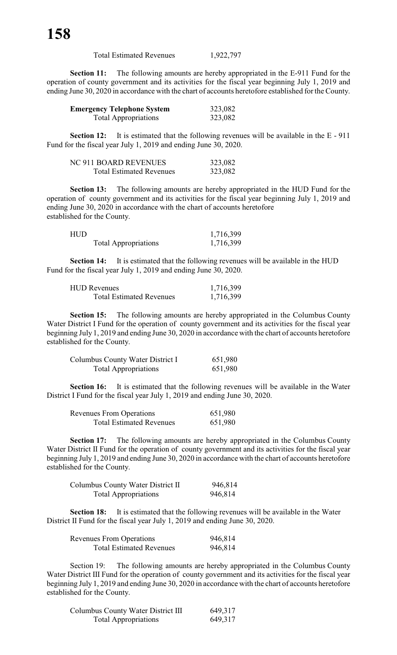| <b>Total Estimated Revenues</b> | 1,922,797 |
|---------------------------------|-----------|
|---------------------------------|-----------|

**Section 11:** The following amounts are hereby appropriated in the E-911 Fund for the operation of county government and its activities for the fiscal year beginning July 1, 2019 and ending June 30, 2020 in accordance with the chart of accounts heretofore established for the County.

| <b>Emergency Telephone System</b> | 323,082 |
|-----------------------------------|---------|
| <b>Total Appropriations</b>       | 323,082 |

**Section 12:** It is estimated that the following revenues will be available in the E - 911 Fund for the fiscal year July 1, 2019 and ending June 30, 2020.

| NC 911 BOARD REVENUES           | 323,082 |
|---------------------------------|---------|
| <b>Total Estimated Revenues</b> | 323,082 |

**Section 13:** The following amounts are hereby appropriated in the HUD Fund for the operation of county government and its activities for the fiscal year beginning July 1, 2019 and ending June 30, 2020 in accordance with the chart of accounts heretofore established for the County.

| HUD |                             | 1,716,399 |
|-----|-----------------------------|-----------|
|     | <b>Total Appropriations</b> | 1,716,399 |

**Section 14:** It is estimated that the following revenues will be available in the HUD Fund for the fiscal year July 1, 2019 and ending June 30, 2020.

| <b>HUD Revenues</b>             | 1,716,399 |
|---------------------------------|-----------|
| <b>Total Estimated Revenues</b> | 1,716,399 |

**Section 15:** The following amounts are hereby appropriated in the Columbus County Water District I Fund for the operation of county government and its activities for the fiscal year beginning July 1, 2019 and ending June 30, 2020 in accordance with the chart of accounts heretofore established for the County.

| Columbus County Water District I | 651,980 |
|----------------------------------|---------|
| <b>Total Appropriations</b>      | 651,980 |

**Section 16:** It is estimated that the following revenues will be available in the Water District I Fund for the fiscal year July 1, 2019 and ending June 30, 2020.

| <b>Revenues From Operations</b> | 651,980 |
|---------------------------------|---------|
| <b>Total Estimated Revenues</b> | 651,980 |

**Section 17:** The following amounts are hereby appropriated in the Columbus County Water District II Fund for the operation of county government and its activities for the fiscal year beginning July 1, 2019 and ending June 30, 2020 in accordance with the chart of accounts heretofore established for the County.

| Columbus County Water District II | 946,814 |
|-----------------------------------|---------|
| <b>Total Appropriations</b>       | 946,814 |

**Section 18:** It is estimated that the following revenues will be available in the Water District II Fund for the fiscal year July 1, 2019 and ending June 30, 2020.

| <b>Revenues From Operations</b> | 946,814 |
|---------------------------------|---------|
| <b>Total Estimated Revenues</b> | 946,814 |

Section 19: The following amounts are hereby appropriated in the Columbus County Water District III Fund for the operation of county government and its activities for the fiscal year beginning July 1, 2019 and ending June 30, 2020 in accordance with the chart of accounts heretofore established for the County.

| Columbus County Water District III | 649,317 |
|------------------------------------|---------|
| <b>Total Appropriations</b>        | 649,317 |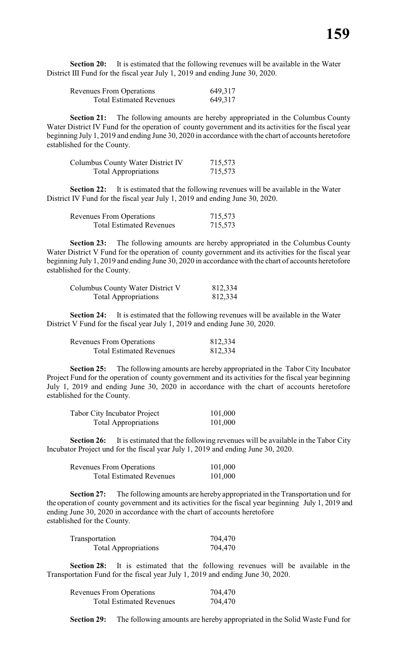**Section 20:** It is estimated that the following revenues will be available in the Water District III Fund for the fiscal year July 1, 2019 and ending June 30, 2020.

| <b>Revenues From Operations</b> | 649,317 |
|---------------------------------|---------|
| <b>Total Estimated Revenues</b> | 649,317 |

**Section 21:** The following amounts are hereby appropriated in the Columbus County Water District IV Fund for the operation of county government and its activities for the fiscal year beginning July 1, 2019 and ending June 30, 2020 in accordance with the chart of accounts heretofore established for the County.

| Columbus County Water District IV | 715,573 |
|-----------------------------------|---------|
| <b>Total Appropriations</b>       | 715,573 |

**Section 22:** It is estimated that the following revenues will be available in the Water District IV Fund for the fiscal year July 1, 2019 and ending June 30, 2020.

| <b>Revenues From Operations</b> | 715,573 |
|---------------------------------|---------|
| <b>Total Estimated Revenues</b> | 715,573 |

**Section 23:** The following amounts are hereby appropriated in the Columbus County Water District V Fund for the operation of county government and its activities for the fiscal year beginning July 1, 2019 and ending June 30, 2020 in accordance with the chart of accounts heretofore established for the County.

| Columbus County Water District V | 812,334 |
|----------------------------------|---------|
| <b>Total Appropriations</b>      | 812,334 |

**Section 24:** It is estimated that the following revenues will be available in the Water District V Fund for the fiscal year July 1, 2019 and ending June 30, 2020.

| <b>Revenues From Operations</b> | 812,334 |
|---------------------------------|---------|
| <b>Total Estimated Revenues</b> | 812,334 |

**Section 25:** The following amounts are hereby appropriated in the Tabor City Incubator Project Fund for the operation of county government and its activities for the fiscal year beginning July 1, 2019 and ending June 30, 2020 in accordance with the chart of accounts heretofore established for the County.

| <b>Tabor City Incubator Project</b> | 101,000 |
|-------------------------------------|---------|
| <b>Total Appropriations</b>         | 101,000 |

**Section 26:** It is estimated that the following revenues will be available in the Tabor City Incubator Project und for the fiscal year July 1, 2019 and ending June 30, 2020.

| <b>Revenues From Operations</b> | 101,000 |
|---------------------------------|---------|
| <b>Total Estimated Revenues</b> | 101,000 |

**Section 27:** The following amounts are hereby appropriated in the Transportation und for the operation of county government and its activities for the fiscal year beginning July 1, 2019 and ending June 30, 2020 in accordance with the chart of accounts heretofore established for the County.

| Transportation              | 704,470 |
|-----------------------------|---------|
| <b>Total Appropriations</b> | 704,470 |

**Section 28:** It is estimated that the following revenues will be available in the Transportation Fund for the fiscal year July 1, 2019 and ending June 30, 2020.

| <b>Revenues From Operations</b> | 704,470 |
|---------------------------------|---------|
| <b>Total Estimated Revenues</b> | 704,470 |

**Section 29:** The following amounts are hereby appropriated in the Solid Waste Fund for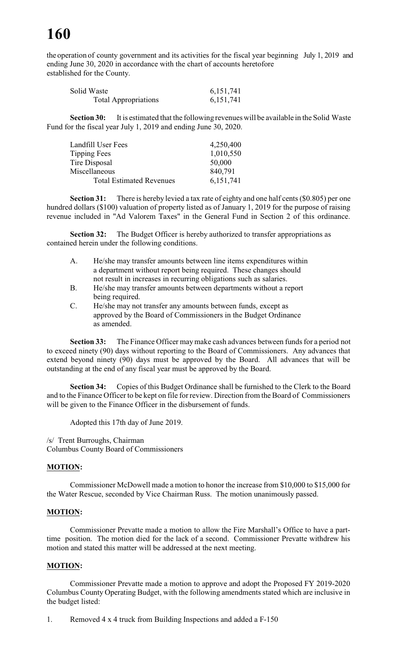the operation of county government and its activities for the fiscal year beginning July 1, 2019 and ending June 30, 2020 in accordance with the chart of accounts heretofore established for the County.

| Solid Waste                 | 6, 151, 741 |
|-----------------------------|-------------|
| <b>Total Appropriations</b> | 6, 151, 741 |

**Section 30:** It is estimated that the following revenues will be available in the Solid Waste Fund for the fiscal year July 1, 2019 and ending June 30, 2020.

| Landfill User Fees              | 4,250,400   |
|---------------------------------|-------------|
| Tipping Fees                    | 1,010,550   |
| Tire Disposal                   | 50,000      |
| Miscellaneous                   | 840,791     |
| <b>Total Estimated Revenues</b> | 6, 151, 741 |

**Section 31:** There is hereby levied a tax rate of eighty and one half cents (\$0.805) per one hundred dollars (\$100) valuation of property listed as of January 1, 2019 for the purpose of raising revenue included in "Ad Valorem Taxes" in the General Fund in Section 2 of this ordinance.

**Section 32:** The Budget Officer is hereby authorized to transfer appropriations as contained herein under the following conditions.

- A. He/she may transfer amounts between line items expenditures within a department without report being required. These changes should not result in increases in recurring obligations such as salaries.
- B. He/she may transfer amounts between departments without a report being required.
- C. He/she may not transfer any amounts between funds, except as approved by the Board of Commissioners in the Budget Ordinance as amended.

**Section 33:** The Finance Officer maymake cash advances between funds for a period not to exceed ninety (90) days without reporting to the Board of Commissioners. Any advances that extend beyond ninety (90) days must be approved by the Board. All advances that will be outstanding at the end of any fiscal year must be approved by the Board.

**Section 34:** Copies of this Budget Ordinance shall be furnished to the Clerk to the Board and to the Finance Officer to be kept on file for review. Direction from the Board of Commissioners will be given to the Finance Officer in the disbursement of funds.

Adopted this 17th day of June 2019.

/s/ Trent Burroughs, Chairman

Columbus County Board of Commissioners

### **MOTION:**

Commissioner McDowell made a motion to honor the increase from \$10,000 to \$15,000 for the Water Rescue, seconded by Vice Chairman Russ. The motion unanimously passed.

### **MOTION:**

Commissioner Prevatte made a motion to allow the Fire Marshall's Office to have a parttime position. The motion died for the lack of a second. Commissioner Prevatte withdrew his motion and stated this matter will be addressed at the next meeting.

### **MOTION:**

Commissioner Prevatte made a motion to approve and adopt the Proposed FY 2019-2020 Columbus County Operating Budget, with the following amendments stated which are inclusive in the budget listed:

1. Removed 4 x 4 truck from Building Inspections and added a F-150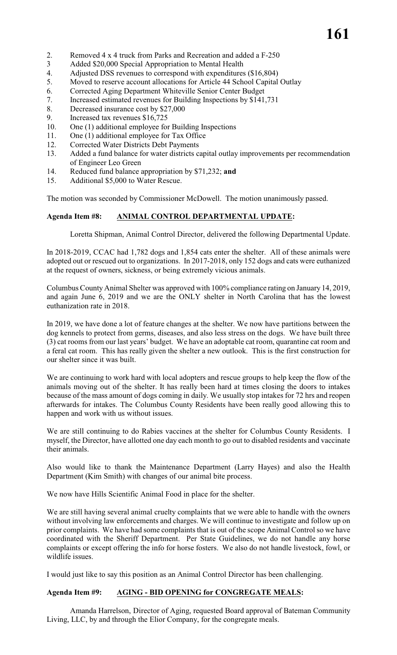- 2. Removed 4 x 4 truck from Parks and Recreation and added a F-250
- 3 Added \$20,000 Special Appropriation to Mental Health
- 4. Adjusted DSS revenues to correspond with expenditures (\$16,804)<br>5. Moved to reserve account allocations for Article 44 School Capital
- Moved to reserve account allocations for Article 44 School Capital Outlay
- 6. Corrected Aging Department Whiteville Senior Center Budget
- 7. Increased estimated revenues for Building Inspections by \$141,731
- 8. Decreased insurance cost by \$27,000
- 9. Increased tax revenues \$16,725
- 10. One (1) additional employee for Building Inspections
- 11. One (1) additional employee for Tax Office
- 12. Corrected Water Districts Debt Payments
- 13. Added a fund balance for water districts capital outlay improvements per recommendation of Engineer Leo Green
- 14. Reduced fund balance appropriation by \$71,232; **and**
- 15. Additional \$5,000 to Water Rescue.

The motion was seconded by Commissioner McDowell. The motion unanimously passed.

### **Agenda Item #8: ANIMAL CONTROL DEPARTMENTAL UPDATE:**

Loretta Shipman, Animal Control Director, delivered the following Departmental Update.

In 2018-2019, CCAC had 1,782 dogs and 1,854 cats enter the shelter. All of these animals were adopted out or rescued out to organizations. In 2017-2018, only 152 dogs and cats were euthanized at the request of owners, sickness, or being extremely vicious animals.

Columbus County Animal Shelter was approved with 100% compliance rating on January 14, 2019, and again June 6, 2019 and we are the ONLY shelter in North Carolina that has the lowest euthanization rate in 2018.

In 2019, we have done a lot of feature changes at the shelter. We now have partitions between the dog kennels to protect from germs, diseases, and also less stress on the dogs. We have built three (3) cat rooms from our last years' budget. We have an adoptable cat room, quarantine cat room and a feral cat room. This has really given the shelter a new outlook. This is the first construction for our shelter since it was built.

We are continuing to work hard with local adopters and rescue groups to help keep the flow of the animals moving out of the shelter. It has really been hard at times closing the doors to intakes because of the mass amount of dogs coming in daily. We usually stop intakes for 72 hrs and reopen afterwards for intakes. The Columbus County Residents have been really good allowing this to happen and work with us without issues.

We are still continuing to do Rabies vaccines at the shelter for Columbus County Residents. I myself, the Director, have allotted one day each month to go out to disabled residents and vaccinate their animals.

Also would like to thank the Maintenance Department (Larry Hayes) and also the Health Department (Kim Smith) with changes of our animal bite process.

We now have Hills Scientific Animal Food in place for the shelter.

We are still having several animal cruelty complaints that we were able to handle with the owners without involving law enforcements and charges. We will continue to investigate and follow up on prior complaints. We have had some complaints that is out of the scope Animal Control so we have coordinated with the Sheriff Department. Per State Guidelines, we do not handle any horse complaints or except offering the info for horse fosters. We also do not handle livestock, fowl, or wildlife issues.

I would just like to say this position as an Animal Control Director has been challenging.

### **Agenda Item #9: AGING - BID OPENING for CONGREGATE MEALS:**

Amanda Harrelson, Director of Aging, requested Board approval of Bateman Community Living, LLC, by and through the Elior Company, for the congregate meals.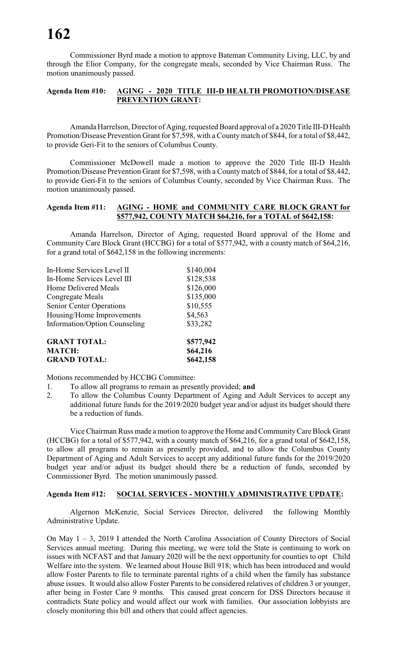Commissioner Byrd made a motion to approve Bateman Community Living, LLC, by and through the Elior Company, for the congregate meals, seconded by Vice Chairman Russ. The motion unanimously passed.

# **Agenda Item #10: AGING - 2020 TITLE III-D HEALTH PROMOTION/DISEASE PREVENTION GRANT:**

Amanda Harrelson, Director of Aging, requested Board approval of a 2020 Title III-D Health Promotion/Disease Prevention Grant for \$7,598, with a County match of \$844, for a total of \$8,442, to provide Geri-Fit to the seniors of Columbus County.

Commissioner McDowell made a motion to approve the 2020 Title III-D Health Promotion/Disease Prevention Grant for \$7,598, with a County match of \$844, for a total of \$8,442, to provide Geri-Fit to the seniors of Columbus County, seconded by Vice Chairman Russ. The motion unanimously passed.

### **Agenda Item #11: AGING - HOME and COMMUNITY CARE BLOCK GRANT for \$577,942, COUNTY MATCH \$64,216, for a TOTAL of \$642,158:**

Amanda Harrelson, Director of Aging, requested Board approval of the Home and Community Care Block Grant (HCCBG) for a total of \$577,942, with a county match of \$64,216, for a grand total of \$642,158 in the following increments:

| <b>MATCH:</b>                        | \$64,216  |
|--------------------------------------|-----------|
| <b>GRANT TOTAL:</b>                  | \$577,942 |
| <b>Information/Option Counseling</b> | \$33,282  |
| Housing/Home Improvements            | \$4,563   |
| <b>Senior Center Operations</b>      | \$10,555  |
| Congregate Meals                     | \$135,000 |
| Home Delivered Meals                 | \$126,000 |
| In-Home Services Level III           | \$128,538 |
| In-Home Services Level II            | \$140,004 |

**GRAND TOTAL: \$642,158**

Motions recommended by HCCBG Committee:

- 1. To allow all programs to remain as presently provided; **and**
- 2. To allow the Columbus County Department of Aging and Adult Services to accept any additional future funds for the 2019/2020 budget year and/or adjust its budget should there be a reduction of funds.

Vice Chairman Russ made a motion to approve the Home and CommunityCare Block Grant (HCCBG) for a total of \$577,942, with a county match of \$64,216, for a grand total of \$642,158, to allow all programs to remain as presently provided, and to allow the Columbus County Department of Aging and Adult Services to accept any additional future funds for the 2019/2020 budget year and/or adjust its budget should there be a reduction of funds, seconded by Commissioner Byrd. The motion unanimously passed.

#### **Agenda Item #12: SOCIAL SERVICES - MONTHLY ADMINISTRATIVE UPDATE:**

Algernon McKenzie, Social Services Director, delivered the following Monthly Administrative Update.

On May 1 – 3, 2019 I attended the North Carolina Association of County Directors of Social Services annual meeting. During this meeting, we were told the State is continuing to work on issues with NCFAST and that January 2020 will be the next opportunity for counties to opt Child Welfare into the system. We learned about House Bill 918; which has been introduced and would allow Foster Parents to file to terminate parental rights of a child when the family has substance abuse issues. It would also allow Foster Parents to be considered relatives of children 3 or younger, after being in Foster Care 9 months. This caused great concern for DSS Directors because it contradicts State policy and would affect our work with families. Our association lobbyists are closely monitoring this bill and others that could affect agencies.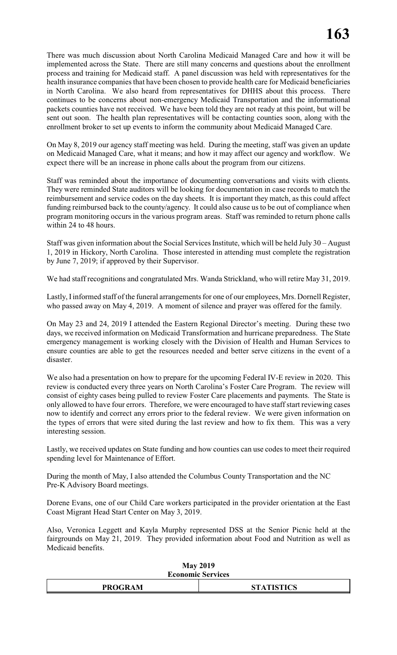There was much discussion about North Carolina Medicaid Managed Care and how it will be implemented across the State. There are still many concerns and questions about the enrollment process and training for Medicaid staff. A panel discussion was held with representatives for the health insurance companies that have been chosen to provide health care for Medicaid beneficiaries in North Carolina. We also heard from representatives for DHHS about this process. There continues to be concerns about non-emergency Medicaid Transportation and the informational packets counties have not received. We have been told they are not ready at this point, but will be sent out soon. The health plan representatives will be contacting counties soon, along with the enrollment broker to set up events to inform the community about Medicaid Managed Care.

On May 8, 2019 our agency staff meeting was held. During the meeting, staff was given an update on Medicaid Managed Care, what it means; and how it may affect our agency and workflow. We expect there will be an increase in phone calls about the program from our citizens.

Staff was reminded about the importance of documenting conversations and visits with clients. They were reminded State auditors will be looking for documentation in case records to match the reimbursement and service codes on the day sheets. It is important they match, as this could affect funding reimbursed back to the county/agency. It could also cause us to be out of compliance when program monitoring occurs in the various program areas. Staff was reminded to return phone calls within 24 to 48 hours.

Staff was given information about the Social Services Institute, which will be held July 30 – August 1, 2019 in Hickory, North Carolina. Those interested in attending must complete the registration by June 7, 2019; if approved by their Supervisor.

We had staff recognitions and congratulated Mrs. Wanda Strickland, who will retire May 31, 2019.

Lastly, I informed staff of the funeral arrangements for one of our employees, Mrs. Dornell Register, who passed away on May 4, 2019. A moment of silence and prayer was offered for the family.

On May 23 and 24, 2019 I attended the Eastern Regional Director's meeting. During these two days, we received information on Medicaid Transformation and hurricane preparedness. The State emergency management is working closely with the Division of Health and Human Services to ensure counties are able to get the resources needed and better serve citizens in the event of a disaster.

We also had a presentation on how to prepare for the upcoming Federal IV-E review in 2020. This review is conducted every three years on North Carolina's Foster Care Program. The review will consist of eighty cases being pulled to review Foster Care placements and payments. The State is only allowed to have four errors. Therefore, we were encouraged to have staff start reviewing cases now to identify and correct any errors prior to the federal review. We were given information on the types of errors that were sited during the last review and how to fix them. This was a very interesting session.

Lastly, we received updates on State funding and how counties can use codes to meet their required spending level for Maintenance of Effort.

During the month of May, I also attended the Columbus County Transportation and the NC Pre-K Advisory Board meetings.

Dorene Evans, one of our Child Care workers participated in the provider orientation at the East Coast Migrant Head Start Center on May 3, 2019.

Also, Veronica Leggett and Kayla Murphy represented DSS at the Senior Picnic held at the fairgrounds on May 21, 2019. They provided information about Food and Nutrition as well as Medicaid benefits.

| <b>Economic Services</b> |                   |  |
|--------------------------|-------------------|--|
| <b>PROGRAM</b>           | <b>STATISTICS</b> |  |

# **May 2019**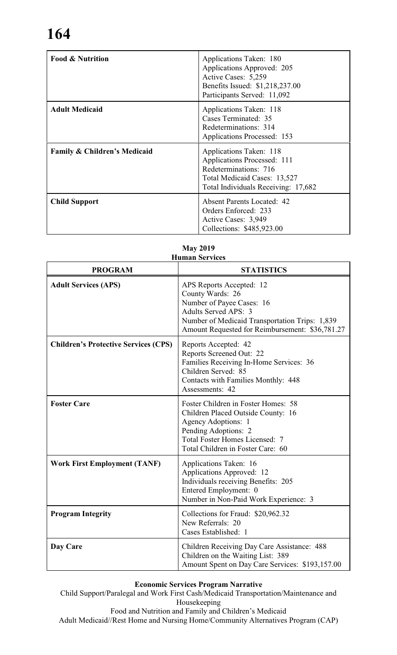| <b>Food &amp; Nutrition</b>             | Applications Taken: 180<br>Applications Approved: 205<br>Active Cases: 5,259<br>Benefits Issued: \$1,218,237.00<br>Participants Served: 11,092         |
|-----------------------------------------|--------------------------------------------------------------------------------------------------------------------------------------------------------|
| <b>Adult Medicaid</b>                   | Applications Taken: 118<br>Cases Terminated: 35<br>Redeterminations: 314<br>Applications Processed: 153                                                |
| <b>Family &amp; Children's Medicaid</b> | Applications Taken: 118<br>Applications Processed: 111<br>Redeterminations: 716<br>Total Medicaid Cases: 13,527<br>Total Individuals Receiving: 17,682 |
| <b>Child Support</b>                    | <b>Absent Parents Located: 42</b><br>Orders Enforced: 233<br>Active Cases: 3,949<br>Collections: \$485,923.00                                          |

| <b>PROGRAM</b>                              | <b>STATISTICS</b>                                                                                                                                                                                             |
|---------------------------------------------|---------------------------------------------------------------------------------------------------------------------------------------------------------------------------------------------------------------|
| <b>Adult Services (APS)</b>                 | APS Reports Accepted: 12<br>County Wards: 26<br>Number of Payee Cases: 16<br><b>Adults Served APS: 3</b><br>Number of Medicaid Transportation Trips: 1,839<br>Amount Requested for Reimbursement: \$36,781.27 |
| <b>Children's Protective Services (CPS)</b> | Reports Accepted: 42<br>Reports Screened Out: 22<br>Families Receiving In-Home Services: 36<br>Children Served: 85<br>Contacts with Families Monthly: 448<br>Assessments: 42                                  |
| <b>Foster Care</b>                          | Foster Children in Foster Homes: 58<br>Children Placed Outside County: 16<br>Agency Adoptions: 1<br>Pending Adoptions: 2<br>Total Foster Homes Licensed: 7<br>Total Children in Foster Care: 60               |
| <b>Work First Employment (TANF)</b>         | Applications Taken: 16<br>Applications Approved: 12<br>Individuals receiving Benefits: 205<br>Entered Employment: 0<br>Number in Non-Paid Work Experience: 3                                                  |
| <b>Program Integrity</b>                    | Collections for Fraud: \$20,962.32<br>New Referrals: 20<br>Cases Established: 1                                                                                                                               |
| Day Care                                    | Children Receiving Day Care Assistance: 488<br>Children on the Waiting List: 389<br>Amount Spent on Day Care Services: \$193,157.00                                                                           |

# **May 2019 Human Services**

# **Economic Services Program Narrative**

Child Support/Paralegal and Work First Cash/Medicaid Transportation/Maintenance and Housekeeping Food and Nutrition and Family and Children's Medicaid

Adult Medicaid//Rest Home and Nursing Home/Community Alternatives Program (CAP)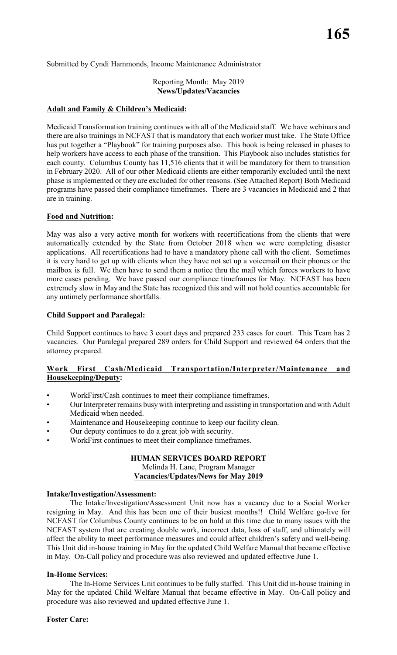Submitted by Cyndi Hammonds, Income Maintenance Administrator

### Reporting Month: May 2019 **News/Updates/Vacancies**

### **Adult and Family & Children's Medicaid:**

Medicaid Transformation training continues with all of the Medicaid staff. We have webinars and there are also trainings in NCFAST that is mandatory that each worker must take. The State Office has put together a "Playbook" for training purposes also. This book is being released in phases to help workers have access to each phase of the transition. This Playbook also includes statistics for each county. Columbus County has 11,516 clients that it will be mandatory for them to transition in February 2020. All of our other Medicaid clients are either temporarily excluded until the next phase is implemented or they are excluded for other reasons. (See Attached Report) Both Medicaid programs have passed their compliance timeframes. There are 3 vacancies in Medicaid and 2 that are in training.

### **Food and Nutrition:**

May was also a very active month for workers with recertifications from the clients that were automatically extended by the State from October 2018 when we were completing disaster applications. All recertifications had to have a mandatory phone call with the client. Sometimes it is very hard to get up with clients when they have not set up a voicemail on their phones or the mailbox is full. We then have to send them a notice thru the mail which forces workers to have more cases pending. We have passed our compliance timeframes for May. NCFAST has been extremely slow in May and the State has recognized this and will not hold counties accountable for any untimely performance shortfalls.

### **Child Support and Paralegal:**

Child Support continues to have 3 court days and prepared 233 cases for court. This Team has 2 vacancies. Our Paralegal prepared 289 orders for Child Support and reviewed 64 orders that the attorney prepared.

### **Work First Cash/Medicaid Transportation/Interpreter/Maintenance and Housekeeping/Deputy:**

- WorkFirst/Cash continues to meet their compliance timeframes.
- Our Interpreter remains busy with interpreting and assisting in transportation and with Adult Medicaid when needed.
- Maintenance and Housekeeping continue to keep our facility clean.
- Our deputy continues to do a great job with security.
- WorkFirst continues to meet their compliance timeframes.

### **HUMAN SERVICES BOARD REPORT** Melinda H. Lane, Program Manager **Vacancies/Updates/News for May 2019**

#### **Intake/Investigation/Assessment:**

The Intake/Investigation/Assessment Unit now has a vacancy due to a Social Worker resigning in May. And this has been one of their busiest months!! Child Welfare go-live for NCFAST for Columbus County continues to be on hold at this time due to many issues with the NCFAST system that are creating double work, incorrect data, loss of staff, and ultimately will affect the ability to meet performance measures and could affect children's safety and well-being. This Unit did in-house training in May for the updated Child Welfare Manual that became effective in May. On-Call policy and procedure was also reviewed and updated effective June 1.

### **In-Home Services:**

The In-Home Services Unit continues to be fully staffed. This Unit did in-house training in May for the updated Child Welfare Manual that became effective in May. On-Call policy and procedure was also reviewed and updated effective June 1.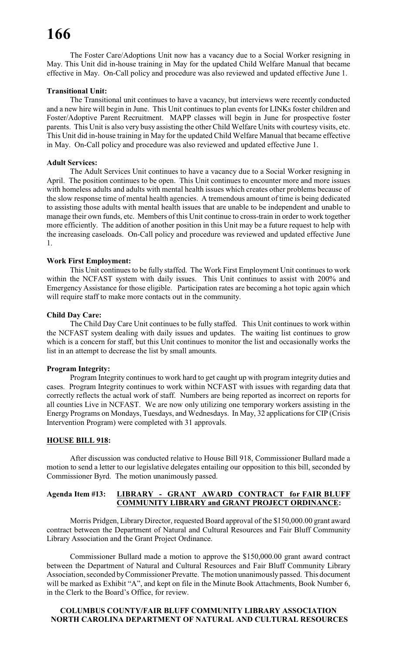The Foster Care/Adoptions Unit now has a vacancy due to a Social Worker resigning in May. This Unit did in-house training in May for the updated Child Welfare Manual that became effective in May. On-Call policy and procedure was also reviewed and updated effective June 1.

### **Transitional Unit:**

The Transitional unit continues to have a vacancy, but interviews were recently conducted and a new hire will begin in June. This Unit continues to plan events for LINKs foster children and Foster/Adoptive Parent Recruitment. MAPP classes will begin in June for prospective foster parents. This Unit is also very busy assisting the other Child Welfare Units with courtesy visits, etc. This Unit did in-house training in May for the updated Child Welfare Manual that became effective in May. On-Call policy and procedure was also reviewed and updated effective June 1.

### **Adult Services:**

The Adult Services Unit continues to have a vacancy due to a Social Worker resigning in April. The position continues to be open. This Unit continues to encounter more and more issues with homeless adults and adults with mental health issues which creates other problems because of the slow response time of mental health agencies. A tremendous amount of time is being dedicated to assisting those adults with mental health issues that are unable to be independent and unable to manage their own funds, etc. Members of this Unit continue to cross-train in order to work together more efficiently. The addition of another position in this Unit may be a future request to help with the increasing caseloads. On-Call policy and procedure was reviewed and updated effective June 1.

### **Work First Employment:**

This Unit continues to be fully staffed. The Work First Employment Unit continues to work within the NCFAST system with daily issues. This Unit continues to assist with 200% and Emergency Assistance for those eligible. Participation rates are becoming a hot topic again which will require staff to make more contacts out in the community.

### **Child Day Care:**

The Child Day Care Unit continues to be fully staffed. This Unit continues to work within the NCFAST system dealing with daily issues and updates. The waiting list continues to grow which is a concern for staff, but this Unit continues to monitor the list and occasionally works the list in an attempt to decrease the list by small amounts.

### **Program Integrity:**

Program Integrity continues to work hard to get caught up with program integrity duties and cases. Program Integrity continues to work within NCFAST with issues with regarding data that correctly reflects the actual work of staff. Numbers are being reported as incorrect on reports for all counties Live in NCFAST. We are now only utilizing one temporary workers assisting in the Energy Programs on Mondays, Tuesdays, and Wednesdays. In May, 32 applicationsfor CIP (Crisis Intervention Program) were completed with 31 approvals.

#### **HOUSE BILL 918:**

After discussion was conducted relative to House Bill 918, Commissioner Bullard made a motion to send a letter to our legislative delegates entailing our opposition to this bill, seconded by Commissioner Byrd. The motion unanimously passed.

### **Agenda Item #13: LIBRARY - GRANT AWARD CONTRACT for FAIR BLUFF COMMUNITY LIBRARY and GRANT PROJECT ORDINANCE:**

Morris Pridgen, Library Director, requested Board approval of the \$150,000.00 grant award contract between the Department of Natural and Cultural Resources and Fair Bluff Community Library Association and the Grant Project Ordinance.

Commissioner Bullard made a motion to approve the \$150,000.00 grant award contract between the Department of Natural and Cultural Resources and Fair Bluff Community Library Association, seconded by Commissioner Prevatte. The motion unanimously passed. This document will be marked as Exhibit "A", and kept on file in the Minute Book Attachments, Book Number 6, in the Clerk to the Board's Office, for review.

### **COLUMBUS COUNTY/FAIR BLUFF COMMUNITY LIBRARY ASSOCIATION NORTH CAROLINA DEPARTMENT OF NATURAL AND CULTURAL RESOURCES**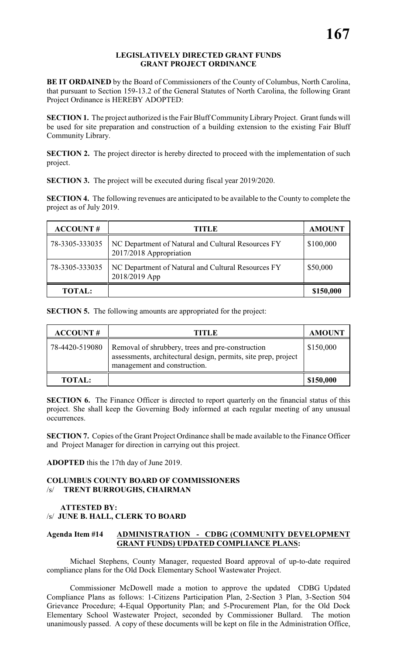### **LEGISLATIVELY DIRECTED GRANT FUNDS GRANT PROJECT ORDINANCE**

**BE IT ORDAINED** by the Board of Commissioners of the County of Columbus, North Carolina, that pursuant to Section 159-13.2 of the General Statutes of North Carolina, the following Grant Project Ordinance is HEREBY ADOPTED:

**SECTION 1.** The project authorized is the Fair Bluff Community Library Project. Grant funds will be used for site preparation and construction of a building extension to the existing Fair Bluff Community Library.

**SECTION 2.** The project director is hereby directed to proceed with the implementation of such project.

**SECTION 3.** The project will be executed during fiscal year 2019/2020.

**SECTION 4.** The following revenues are anticipated to be available to the County to complete the project as of July 2019.

| <b>ACCOUNT#</b> | <b>TITLE</b>                                                                  | <b>AMOUNT</b> |
|-----------------|-------------------------------------------------------------------------------|---------------|
| 78-3305-333035  | NC Department of Natural and Cultural Resources FY<br>2017/2018 Appropriation | \$100,000     |
| 78-3305-333035  | NC Department of Natural and Cultural Resources FY<br>2018/2019 App           | \$50,000      |
| <b>TOTAL:</b>   |                                                                               | \$150,000     |

**SECTION 5.** The following amounts are appropriated for the project:

| <b>ACCOUNT#</b> | TITLE                                                                                                                                              | <b>AMOUNT</b> |
|-----------------|----------------------------------------------------------------------------------------------------------------------------------------------------|---------------|
| 78-4420-519080  | Removal of shrubbery, trees and pre-construction<br>assessments, architectural design, permits, site prep, project<br>management and construction. | \$150,000     |
| <b>TOTAL:</b>   |                                                                                                                                                    | \$150,000     |

**SECTION 6.** The Finance Officer is directed to report quarterly on the financial status of this project. She shall keep the Governing Body informed at each regular meeting of any unusual occurrences.

**SECTION 7.** Copies of the Grant Project Ordinance shall be made available to the Finance Officer and Project Manager for direction in carrying out this project.

**ADOPTED** this the 17th day of June 2019.

### **COLUMBUS COUNTY BOARD OF COMMISSIONERS** /s/ **TRENT BURROUGHS, CHAIRMAN**

# **ATTESTED BY:**  /s/ **JUNE B. HALL, CLERK TO BOARD**

# **Agenda Item #14 ADMINISTRATION - CDBG (COMMUNITY DEVELOPMENT GRANT FUNDS) UPDATED COMPLIANCE PLANS:**

Michael Stephens, County Manager, requested Board approval of up-to-date required compliance plans for the Old Dock Elementary School Wastewater Project.

Commissioner McDowell made a motion to approve the updated CDBG Updated Compliance Plans as follows: 1-Citizens Participation Plan, 2-Section 3 Plan, 3-Section 504 Grievance Procedure; 4-Equal Opportunity Plan; and 5-Procurement Plan, for the Old Dock Elementary School Wastewater Project, seconded by Commissioner Bullard. The motion unanimously passed. A copy of these documents will be kept on file in the Administration Office,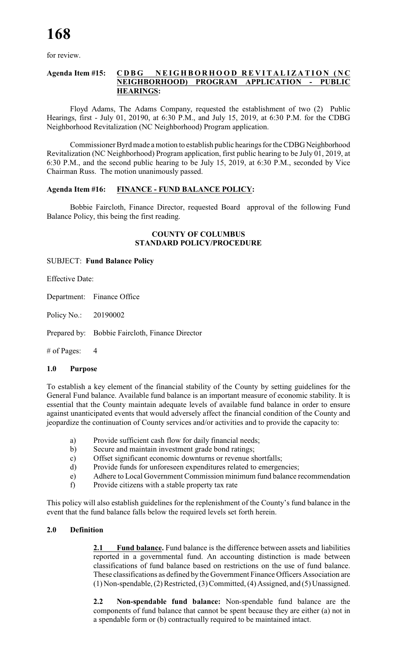for review.

### **Agenda Item #15: CDBG NEIGHBORHO O D R E V I T A L I Z A T I O N (NC NEIGHBORHOOD) PROGRAM APPLICATION - PUBLIC HEARINGS:**

Floyd Adams, The Adams Company, requested the establishment of two (2) Public Hearings, first - July 01, 20190, at 6:30 P.M., and July 15, 2019, at 6:30 P.M. for the CDBG Neighborhood Revitalization (NC Neighborhood) Program application.

Commissioner Byrd made a motion to establish public hearings for the CDBG Neighborhood Revitalization (NC Neighborhood) Program application, first public hearing to be July 01, 2019, at 6:30 P.M., and the second public hearing to be July 15, 2019, at 6:30 P.M., seconded by Vice Chairman Russ. The motion unanimously passed.

### **Agenda Item #16: FINANCE - FUND BALANCE POLICY:**

Bobbie Faircloth, Finance Director, requested Board approval of the following Fund Balance Policy, this being the first reading.

### **COUNTY OF COLUMBUS STANDARD POLICY/PROCEDURE**

### SUBJECT: **Fund Balance Policy**

Effective Date:

Department: Finance Office

Policy No.: 20190002

Prepared by: Bobbie Faircloth, Finance Director

# of Pages: 4

### **1.0 Purpose**

To establish a key element of the financial stability of the County by setting guidelines for the General Fund balance. Available fund balance is an important measure of economic stability. It is essential that the County maintain adequate levels of available fund balance in order to ensure against unanticipated events that would adversely affect the financial condition of the County and jeopardize the continuation of County services and/or activities and to provide the capacity to:

- a) Provide sufficient cash flow for daily financial needs;
- b) Secure and maintain investment grade bond ratings;
- c) Offset significant economic downturns or revenue shortfalls;
- d) Provide funds for unforeseen expenditures related to emergencies;
- e) Adhere to Local Government Commission minimum fund balance recommendation
- f) Provide citizens with a stable property tax rate

This policy will also establish guidelines for the replenishment of the County's fund balance in the event that the fund balance falls below the required levels set forth herein.

### **2.0 Definition**

**2.1 Fund balance.** Fund balance is the difference between assets and liabilities reported in a governmental fund. An accounting distinction is made between classifications of fund balance based on restrictions on the use of fund balance. These classifications as defined by the Government Finance Officers Association are (1) Non-spendable, (2) Restricted, (3) Committed, (4) Assigned, and (5) Unassigned.

**2.2 Non-spendable fund balance:** Non-spendable fund balance are the components of fund balance that cannot be spent because they are either (a) not in a spendable form or (b) contractually required to be maintained intact.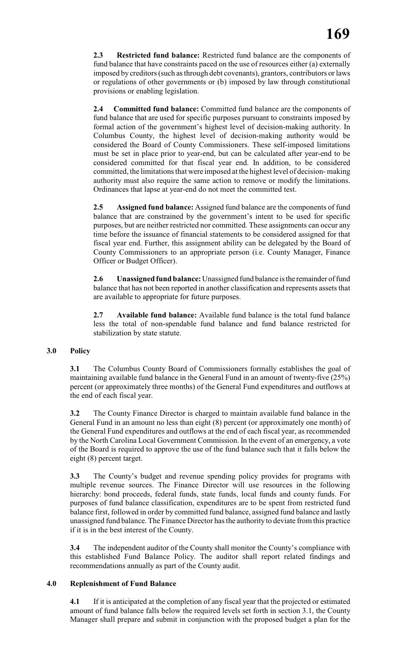**2.3 Restricted fund balance:** Restricted fund balance are the components of fund balance that have constraints paced on the use of resources either (a) externally imposed by creditors (such as through debt covenants), grantors, contributors or laws or regulations of other governments or (b) imposed by law through constitutional provisions or enabling legislation.

**2.4 Committed fund balance:** Committed fund balance are the components of fund balance that are used for specific purposes pursuant to constraints imposed by formal action of the government's highest level of decision-making authority. In Columbus County, the highest level of decision-making authority would be considered the Board of County Commissioners. These self-imposed limitations must be set in place prior to year-end, but can be calculated after year-end to be considered committed for that fiscal year end. In addition, to be considered committed, the limitations that were imposed at the highest level of decision- making authority must also require the same action to remove or modify the limitations. Ordinances that lapse at year-end do not meet the committed test.

**2.5 Assigned fund balance:** Assigned fund balance are the components of fund balance that are constrained by the government's intent to be used for specific purposes, but are neither restricted nor committed. These assignments can occur any time before the issuance of financial statements to be considered assigned for that fiscal year end. Further, this assignment ability can be delegated by the Board of County Commissioners to an appropriate person (i.e. County Manager, Finance Officer or Budget Officer).

**2.6 Unassigned fund balance:** Unassigned fund balance is the remainder of fund balance that has not been reported in another classification and represents assets that are available to appropriate for future purposes.

**2.7 Available fund balance:** Available fund balance is the total fund balance less the total of non-spendable fund balance and fund balance restricted for stabilization by state statute.

### **3.0 Policy**

**3.1** The Columbus County Board of Commissioners formally establishes the goal of maintaining available fund balance in the General Fund in an amount of twenty-five (25%) percent (or approximately three months) of the General Fund expenditures and outflows at the end of each fiscal year.

**3.2** The County Finance Director is charged to maintain available fund balance in the General Fund in an amount no less than eight (8) percent (or approximately one month) of the General Fund expenditures and outflows at the end of each fiscal year, as recommended by the North Carolina Local Government Commission. In the event of an emergency, a vote of the Board is required to approve the use of the fund balance such that it falls below the eight (8) percent target.

**3.3** The County's budget and revenue spending policy provides for programs with multiple revenue sources. The Finance Director will use resources in the following hierarchy: bond proceeds, federal funds, state funds, local funds and county funds. For purposes of fund balance classification, expenditures are to be spent from restricted fund balance first, followed in order by committed fund balance, assigned fund balance and lastly unassigned fund balance. The Finance Director has the authority to deviate from this practice if it is in the best interest of the County.

**3.4** The independent auditor of the County shall monitor the County's compliance with this established Fund Balance Policy. The auditor shall report related findings and recommendations annually as part of the County audit.

### **4.0 Replenishment of Fund Balance**

**4.1** If it is anticipated at the completion of any fiscal year that the projected or estimated amount of fund balance falls below the required levels set forth in section 3.1, the County Manager shall prepare and submit in conjunction with the proposed budget a plan for the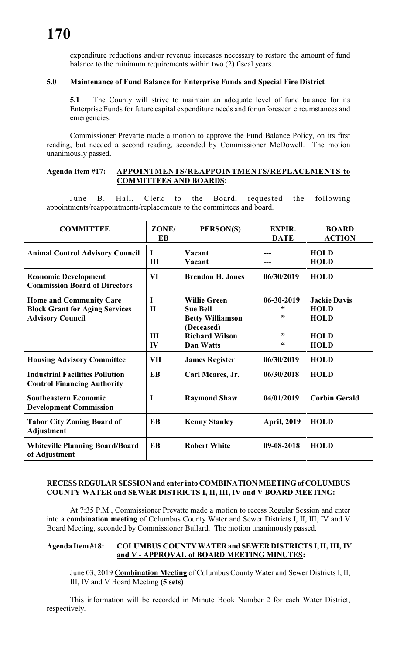expenditure reductions and/or revenue increases necessary to restore the amount of fund balance to the minimum requirements within two (2) fiscal years.

### **5.0 Maintenance of Fund Balance for Enterprise Funds and Special Fire District**

**5.1** The County will strive to maintain an adequate level of fund balance for its Enterprise Funds for future capital expenditure needs and for unforeseen circumstances and emergencies.

Commissioner Prevatte made a motion to approve the Fund Balance Policy, on its first reading, but needed a second reading, seconded by Commissioner McDowell. The motion unanimously passed.

### **Agenda Item #17: APPOINTMENTS/REAPPOINTMENTS/REPLACEMENTS to COMMITTEES AND BOARDS:**

June B. Hall, Clerk to the Board, requested the following appointments/reappointments/replacements to the committees and board.

| <b>COMMITTEE</b>                                                                                   | ZONE/<br>EB                           | PERSON(S)                                                                                                                    | <b>EXPIR.</b><br><b>DATE</b>       | <b>BOARD</b><br><b>ACTION</b>                                                   |
|----------------------------------------------------------------------------------------------------|---------------------------------------|------------------------------------------------------------------------------------------------------------------------------|------------------------------------|---------------------------------------------------------------------------------|
| <b>Animal Control Advisory Council</b>                                                             | I<br>III                              | Vacant<br>Vacant                                                                                                             | ---                                | <b>HOLD</b><br><b>HOLD</b>                                                      |
| <b>Economic Development</b><br><b>Commission Board of Directors</b>                                | VI                                    | <b>Brendon H. Jones</b>                                                                                                      | 06/30/2019                         | <b>HOLD</b>                                                                     |
| <b>Home and Community Care</b><br><b>Block Grant for Aging Services</b><br><b>Advisory Council</b> | I<br>$\mathbf{H}$<br><b>III</b><br>IV | <b>Willie Green</b><br><b>Sue Bell</b><br><b>Betty Williamson</b><br>(Deceased)<br><b>Richard Wilson</b><br><b>Dan Watts</b> | $06 - 30 - 2019$<br>,,<br>,,<br>66 | <b>Jackie Davis</b><br><b>HOLD</b><br><b>HOLD</b><br><b>HOLD</b><br><b>HOLD</b> |
| <b>Housing Advisory Committee</b>                                                                  | <b>VII</b>                            | <b>James Register</b>                                                                                                        | 06/30/2019                         | <b>HOLD</b>                                                                     |
| <b>Industrial Facilities Pollution</b><br><b>Control Financing Authority</b>                       | <b>EB</b>                             | Carl Meares, Jr.                                                                                                             | 06/30/2018                         | <b>HOLD</b>                                                                     |
| <b>Southeastern Economic</b><br><b>Development Commission</b>                                      | I                                     | <b>Raymond Shaw</b>                                                                                                          | 04/01/2019                         | <b>Corbin Gerald</b>                                                            |
| <b>Tabor City Zoning Board of</b><br><b>Adjustment</b>                                             | <b>EB</b>                             | <b>Kenny Stanley</b>                                                                                                         | <b>April, 2019</b>                 | <b>HOLD</b>                                                                     |
| <b>Whiteville Planning Board/Board</b><br>of Adjustment                                            | <b>EB</b>                             | <b>Robert White</b>                                                                                                          | 09-08-2018                         | <b>HOLD</b>                                                                     |

### **RECESS REGULAR SESSION and enter into COMBINATION MEETING of COLUMBUS COUNTY WATER and SEWER DISTRICTS I, II, III, IV and V BOARD MEETING:**

At 7:35 P.M., Commissioner Prevatte made a motion to recess Regular Session and enter into a **combination meeting** of Columbus County Water and Sewer Districts I, II, III, IV and V Board Meeting, seconded by Commissioner Bullard. The motion unanimously passed.

### **Agenda Item #18: COLUMBUS COUNTY WATER and SEWER DISTRICTS I, II, III, IV and V - APPROVAL of BOARD MEETING MINUTES:**

June 03, 2019 **Combination Meeting** of Columbus County Water and Sewer Districts I, II, III, IV and V Board Meeting **(5 sets)**

This information will be recorded in Minute Book Number 2 for each Water District, respectively.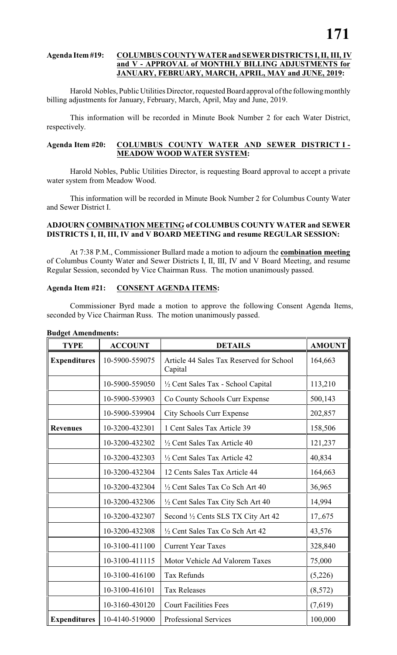### **Agenda Item #19: COLUMBUS COUNTY WATER and SEWER DISTRICTS I, II, III, IV and V - APPROVAL of MONTHLY BILLING ADJUSTMENTS for JANUARY, FEBRUARY, MARCH, APRIL, MAY and JUNE, 2019:**

Harold Nobles, Public Utilities Director, requested Board approval of the following monthly billing adjustments for January, February, March, April, May and June, 2019.

This information will be recorded in Minute Book Number 2 for each Water District, respectively.

### **Agenda Item #20: COLUMBUS COUNTY WATER AND SEWER DISTRICT I - MEADOW WOOD WATER SYSTEM:**

Harold Nobles, Public Utilities Director, is requesting Board approval to accept a private water system from Meadow Wood.

This information will be recorded in Minute Book Number 2 for Columbus County Water and Sewer District I.

### **ADJOURN COMBINATION MEETING of COLUMBUS COUNTY WATER and SEWER DISTRICTS I, II, III, IV and V BOARD MEETING and resume REGULAR SESSION:**

At 7:38 P.M., Commissioner Bullard made a motion to adjourn the **combination meeting** of Columbus County Water and Sewer Districts I, II, III, IV and V Board Meeting, and resume Regular Session, seconded by Vice Chairman Russ. The motion unanimously passed.

### **Agenda Item #21: CONSENT AGENDA ITEMS:**

Commissioner Byrd made a motion to approve the following Consent Agenda Items, seconded by Vice Chairman Russ. The motion unanimously passed.

| <b>TYPE</b>         | <b>ACCOUNT</b> | <b>DETAILS</b>                                      | <b>AMOUNT</b> |
|---------------------|----------------|-----------------------------------------------------|---------------|
| <b>Expenditures</b> | 10-5900-559075 | Article 44 Sales Tax Reserved for School<br>Capital | 164,663       |
|                     | 10-5900-559050 | 1/2 Cent Sales Tax - School Capital                 | 113,210       |
|                     | 10-5900-539903 | Co County Schools Curr Expense                      | 500,143       |
|                     | 10-5900-539904 | <b>City Schools Curr Expense</b>                    | 202,857       |
| <b>Revenues</b>     | 10-3200-432301 | 1 Cent Sales Tax Article 39                         | 158,506       |
|                     | 10-3200-432302 | 1/2 Cent Sales Tax Article 40                       | 121,237       |
|                     | 10-3200-432303 | 1/2 Cent Sales Tax Article 42                       | 40,834        |
|                     | 10-3200-432304 | 12 Cents Sales Tax Article 44                       | 164,663       |
|                     | 10-3200-432304 | 1/2 Cent Sales Tax Co Sch Art 40                    | 36,965        |
|                     | 10-3200-432306 | 1/2 Cent Sales Tax City Sch Art 40                  | 14,994        |
|                     | 10-3200-432307 | Second 1/2 Cents SLS TX City Art 42                 | 17,.675       |
|                     | 10-3200-432308 | 1/2 Cent Sales Tax Co Sch Art 42                    | 43,576        |
|                     | 10-3100-411100 | <b>Current Year Taxes</b>                           | 328,840       |
|                     | 10-3100-411115 | Motor Vehicle Ad Valorem Taxes                      | 75,000        |
|                     | 10-3100-416100 | <b>Tax Refunds</b>                                  | (5,226)       |
|                     | 10-3100-416101 | <b>Tax Releases</b>                                 | (8,572)       |
|                     | 10-3160-430120 | <b>Court Facilities Fees</b>                        | (7,619)       |
| <b>Expenditures</b> | 10-4140-519000 | <b>Professional Services</b>                        | 100,000       |

### **Budget Amendments:**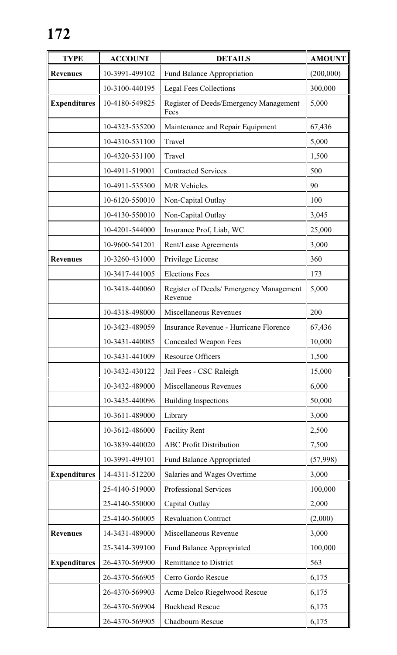| <b>TYPE</b>         | <b>ACCOUNT</b> | <b>DETAILS</b>                                     | <b>AMOUNT</b> |
|---------------------|----------------|----------------------------------------------------|---------------|
| <b>Revenues</b>     | 10-3991-499102 | Fund Balance Appropriation                         | (200,000)     |
|                     | 10-3100-440195 | <b>Legal Fees Collections</b>                      | 300,000       |
| <b>Expenditures</b> | 10-4180-549825 | Register of Deeds/Emergency Management<br>Fees     | 5,000         |
|                     | 10-4323-535200 | Maintenance and Repair Equipment                   | 67,436        |
|                     | 10-4310-531100 | Travel                                             | 5,000         |
|                     | 10-4320-531100 | Travel                                             | 1,500         |
|                     | 10-4911-519001 | <b>Contracted Services</b>                         | 500           |
|                     | 10-4911-535300 | M/R Vehicles                                       | 90            |
|                     | 10-6120-550010 | Non-Capital Outlay                                 | 100           |
|                     | 10-4130-550010 | Non-Capital Outlay                                 | 3,045         |
|                     | 10-4201-544000 | Insurance Prof, Liab, WC                           | 25,000        |
|                     | 10-9600-541201 | Rent/Lease Agreements                              | 3,000         |
| <b>Revenues</b>     | 10-3260-431000 | Privilege License                                  | 360           |
|                     | 10-3417-441005 | <b>Elections Fees</b>                              | 173           |
|                     | 10-3418-440060 | Register of Deeds/ Emergency Management<br>Revenue | 5,000         |
|                     | 10-4318-498000 | Miscellaneous Revenues                             | 200           |
|                     | 10-3423-489059 | Insurance Revenue - Hurricane Florence             | 67,436        |
|                     | 10-3431-440085 | <b>Concealed Weapon Fees</b>                       | 10,000        |
|                     | 10-3431-441009 | <b>Resource Officers</b>                           | 1,500         |
|                     | 10-3432-430122 | Jail Fees - CSC Raleigh                            | 15,000        |
|                     | 10-3432-489000 | Miscellaneous Revenues                             | 6,000         |
|                     | 10-3435-440096 | <b>Building Inspections</b>                        | 50,000        |
|                     | 10-3611-489000 | Library                                            | 3,000         |
|                     | 10-3612-486000 | <b>Facility Rent</b>                               | 2,500         |
|                     | 10-3839-440020 | <b>ABC Profit Distribution</b>                     | 7,500         |
|                     | 10-3991-499101 | <b>Fund Balance Appropriated</b>                   | (57,998)      |
| <b>Expenditures</b> | 14-4311-512200 | Salaries and Wages Overtime                        | 3,000         |
|                     | 25-4140-519000 | Professional Services                              | 100,000       |
|                     | 25-4140-550000 | Capital Outlay                                     | 2,000         |
|                     | 25-4140-560005 | <b>Revaluation Contract</b>                        | (2,000)       |
| <b>Revenues</b>     | 14-3431-489000 | Miscellaneous Revenue                              | 3,000         |
|                     | 25-3414-399100 | <b>Fund Balance Appropriated</b>                   | 100,000       |
| <b>Expenditures</b> | 26-4370-569900 | <b>Remittance to District</b>                      | 563           |
|                     | 26-4370-566905 | Cerro Gordo Rescue                                 | 6,175         |
|                     | 26-4370-569903 | Acme Delco Riegelwood Rescue                       | 6,175         |
|                     | 26-4370-569904 | <b>Buckhead Rescue</b>                             | 6,175         |
|                     | 26-4370-569905 | Chadbourn Rescue                                   | 6,175         |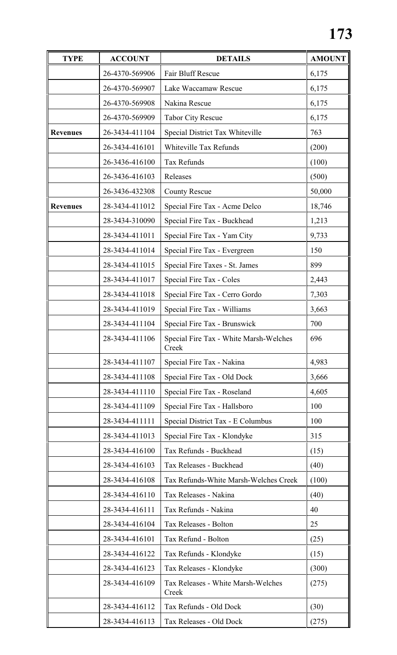| <b>TYPE</b>     | <b>ACCOUNT</b> | <b>DETAILS</b>                                  | <b>AMOUNT</b> |
|-----------------|----------------|-------------------------------------------------|---------------|
|                 | 26-4370-569906 | Fair Bluff Rescue                               | 6,175         |
|                 | 26-4370-569907 | Lake Waccamaw Rescue                            | 6,175         |
|                 | 26-4370-569908 | Nakina Rescue                                   | 6,175         |
|                 | 26-4370-569909 | Tabor City Rescue                               | 6,175         |
| <b>Revenues</b> | 26-3434-411104 | Special District Tax Whiteville                 | 763           |
|                 | 26-3434-416101 | Whiteville Tax Refunds                          | (200)         |
|                 | 26-3436-416100 | <b>Tax Refunds</b>                              | (100)         |
|                 | 26-3436-416103 | Releases                                        | (500)         |
|                 | 26-3436-432308 | <b>County Rescue</b>                            | 50,000        |
| <b>Revenues</b> | 28-3434-411012 | Special Fire Tax - Acme Delco                   | 18,746        |
|                 | 28-3434-310090 | Special Fire Tax - Buckhead                     | 1,213         |
|                 | 28-3434-411011 | Special Fire Tax - Yam City                     | 9,733         |
|                 | 28-3434-411014 | Special Fire Tax - Evergreen                    | 150           |
|                 | 28-3434-411015 | Special Fire Taxes - St. James                  | 899           |
|                 | 28-3434-411017 | Special Fire Tax - Coles                        | 2,443         |
|                 | 28-3434-411018 | Special Fire Tax - Cerro Gordo                  | 7,303         |
|                 | 28-3434-411019 | Special Fire Tax - Williams                     | 3,663         |
|                 | 28-3434-411104 | Special Fire Tax - Brunswick                    | 700           |
|                 | 28-3434-411106 | Special Fire Tax - White Marsh-Welches<br>Creek | 696           |
|                 | 28-3434-411107 | Special Fire Tax - Nakina                       | 4,983         |
|                 | 28-3434-411108 | Special Fire Tax - Old Dock                     | 3,666         |
|                 | 28-3434-411110 | Special Fire Tax - Roseland                     | 4,605         |
|                 | 28-3434-411109 | Special Fire Tax - Hallsboro                    | 100           |
|                 | 28-3434-411111 | Special District Tax - E Columbus               | 100           |
|                 | 28-3434-411013 | Special Fire Tax - Klondyke                     | 315           |
|                 | 28-3434-416100 | Tax Refunds - Buckhead                          | (15)          |
|                 | 28-3434-416103 | Tax Releases - Buckhead                         | (40)          |
|                 | 28-3434-416108 | Tax Refunds-White Marsh-Welches Creek           | (100)         |
|                 | 28-3434-416110 | Tax Releases - Nakina                           | (40)          |
|                 | 28-3434-416111 | Tax Refunds - Nakina                            | 40            |
|                 | 28-3434-416104 | Tax Releases - Bolton                           | 25            |
|                 | 28-3434-416101 | Tax Refund - Bolton                             | (25)          |
|                 | 28-3434-416122 | Tax Refunds - Klondyke                          | (15)          |
|                 | 28-3434-416123 | Tax Releases - Klondyke                         | (300)         |
|                 | 28-3434-416109 | Tax Releases - White Marsh-Welches<br>Creek     | (275)         |
|                 | 28-3434-416112 | Tax Refunds - Old Dock                          | (30)          |
|                 | 28-3434-416113 | Tax Releases - Old Dock                         | (275)         |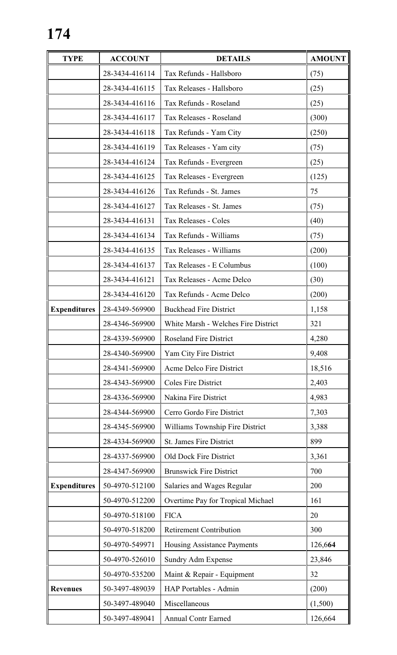| <b>TYPE</b>         | <b>ACCOUNT</b> | <b>DETAILS</b>                      | <b>AMOUNT</b> |
|---------------------|----------------|-------------------------------------|---------------|
|                     | 28-3434-416114 | Tax Refunds - Hallsboro             | (75)          |
|                     | 28-3434-416115 | Tax Releases - Hallsboro            | (25)          |
|                     | 28-3434-416116 | Tax Refunds - Roseland              | (25)          |
|                     | 28-3434-416117 | Tax Releases - Roseland             | (300)         |
|                     | 28-3434-416118 | Tax Refunds - Yam City              | (250)         |
|                     | 28-3434-416119 | Tax Releases - Yam city             | (75)          |
|                     | 28-3434-416124 | Tax Refunds - Evergreen             | (25)          |
|                     | 28-3434-416125 | Tax Releases - Evergreen            | (125)         |
|                     | 28-3434-416126 | Tax Refunds - St. James             | 75            |
|                     | 28-3434-416127 | Tax Releases - St. James            | (75)          |
|                     | 28-3434-416131 | Tax Releases - Coles                | (40)          |
|                     | 28-3434-416134 | Tax Refunds - Williams              | (75)          |
|                     | 28-3434-416135 | Tax Releases - Williams             | (200)         |
|                     | 28-3434-416137 | Tax Releases - E Columbus           | (100)         |
|                     | 28-3434-416121 | Tax Releases - Acme Delco           | (30)          |
|                     | 28-3434-416120 | Tax Refunds - Acme Delco            | (200)         |
| <b>Expenditures</b> | 28-4349-569900 | <b>Buckhead Fire District</b>       | 1,158         |
|                     | 28-4346-569900 | White Marsh - Welches Fire District | 321           |
|                     | 28-4339-569900 | <b>Roseland Fire District</b>       | 4,280         |
|                     | 28-4340-569900 | Yam City Fire District              | 9,408         |
|                     | 28-4341-569900 | Acme Delco Fire District            | 18,516        |
|                     | 28-4343-569900 | <b>Coles Fire District</b>          | 2,403         |
|                     | 28-4336-569900 | Nakina Fire District                | 4,983         |
|                     | 28-4344-569900 | Cerro Gordo Fire District           | 7,303         |
|                     | 28-4345-569900 | Williams Township Fire District     | 3,388         |
|                     | 28-4334-569900 | <b>St. James Fire District</b>      | 899           |
|                     | 28-4337-569900 | <b>Old Dock Fire District</b>       | 3,361         |
|                     | 28-4347-569900 | <b>Brunswick Fire District</b>      | 700           |
| <b>Expenditures</b> | 50-4970-512100 | Salaries and Wages Regular          | 200           |
|                     | 50-4970-512200 | Overtime Pay for Tropical Michael   | 161           |
|                     | 50-4970-518100 | <b>FICA</b>                         | 20            |
|                     | 50-4970-518200 | <b>Retirement Contribution</b>      | 300           |
|                     | 50-4970-549971 | Housing Assistance Payments         | 126,664       |
|                     | 50-4970-526010 | Sundry Adm Expense                  | 23,846        |
|                     | 50-4970-535200 | Maint & Repair - Equipment          | 32            |
| <b>Revenues</b>     | 50-3497-489039 | <b>HAP Portables - Admin</b>        | (200)         |
|                     | 50-3497-489040 | Miscellaneous                       | (1,500)       |
|                     | 50-3497-489041 | <b>Annual Contr Earned</b>          | 126,664       |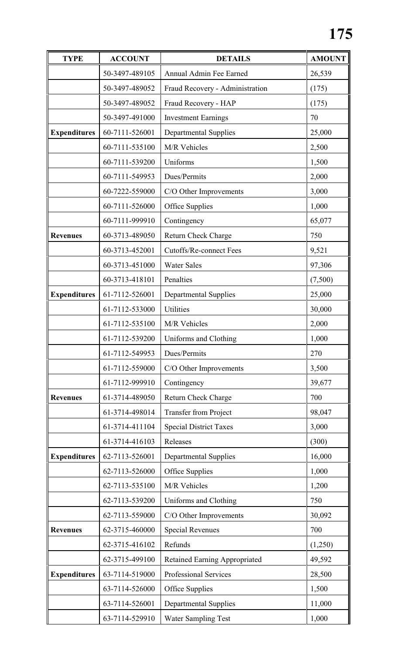| <b>TYPE</b>         | <b>ACCOUNT</b> | <b>DETAILS</b>                         | <b>AMOUNT</b> |
|---------------------|----------------|----------------------------------------|---------------|
|                     | 50-3497-489105 | Annual Admin Fee Earned                | 26,539        |
|                     | 50-3497-489052 | Fraud Recovery - Administration        | (175)         |
|                     | 50-3497-489052 | Fraud Recovery - HAP                   | (175)         |
|                     | 50-3497-491000 | <b>Investment Earnings</b>             | 70            |
| <b>Expenditures</b> | 60-7111-526001 | <b>Departmental Supplies</b>           | 25,000        |
|                     | 60-7111-535100 | M/R Vehicles                           | 2,500         |
|                     | 60-7111-539200 | Uniforms                               | 1,500         |
|                     | 60-7111-549953 | Dues/Permits                           | 2,000         |
|                     | 60-7222-559000 | C/O Other Improvements                 | 3,000         |
|                     | 60-7111-526000 | Office Supplies                        | 1,000         |
|                     | 60-7111-999910 | Contingency                            | 65,077        |
| <b>Revenues</b>     | 60-3713-489050 | Return Check Charge                    | 750           |
|                     | 60-3713-452001 | <b>Cutoffs/Re-connect Fees</b>         | 9,521         |
|                     | 60-3713-451000 | <b>Water Sales</b>                     | 97,306        |
|                     | 60-3713-418101 | Penalties                              | (7,500)       |
| <b>Expenditures</b> | 61-7112-526001 | <b>Departmental Supplies</b>           | 25,000        |
|                     | 61-7112-533000 | <b>Utilities</b>                       | 30,000        |
|                     | 61-7112-535100 | M/R Vehicles                           | 2,000         |
|                     | 61-7112-539200 | Uniforms and Clothing                  | 1,000         |
|                     | 61-7112-549953 | Dues/Permits                           | 270           |
|                     | 61-7112-559000 | C/O Other Improvements                 | 3,500         |
|                     | 61-7112-999910 | Contingency                            | 39,677        |
| <b>Revenues</b>     | 61-3714-489050 | <b>Return Check Charge</b>             | 700           |
|                     | 61-3714-498014 | <b>Transfer from Project</b>           | 98,047        |
|                     | 61-3714-411104 | <b>Special District Taxes</b>          | 3,000         |
|                     | 61-3714-416103 | Releases                               | (300)         |
| <b>Expenditures</b> | 62-7113-526001 | <b>Departmental Supplies</b>           | 16,000        |
|                     | 62-7113-526000 | <b>Office Supplies</b>                 | 1,000         |
|                     | 62-7113-535100 | M/R Vehicles                           | 1,200         |
|                     | 62-7113-539200 | Uniforms and Clothing                  | 750           |
|                     | 62-7113-559000 | C/O Other Improvements                 | 30,092        |
| <b>Revenues</b>     | 62-3715-460000 | Special Revenues                       | 700           |
|                     | 62-3715-416102 | Refunds                                | (1,250)       |
|                     | 62-3715-499100 | <b>Retained Earning Appropriated</b>   | 49,592        |
| <b>Expenditures</b> | 63-7114-519000 | <b>Professional Services</b><br>28,500 |               |
|                     | 63-7114-526000 | Office Supplies                        | 1,500         |
|                     | 63-7114-526001 | <b>Departmental Supplies</b>           | 11,000        |
|                     | 63-7114-529910 | <b>Water Sampling Test</b><br>1,000    |               |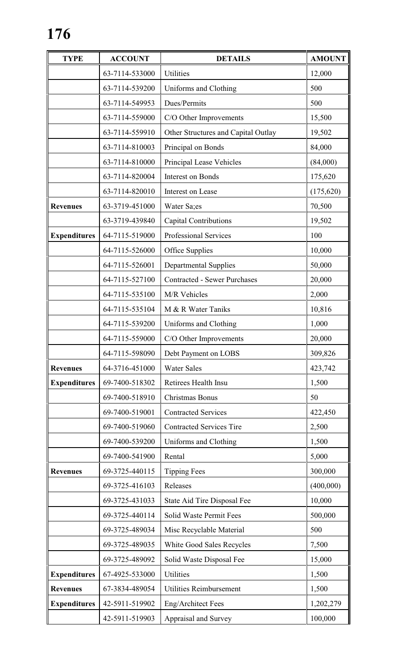| <b>TYPE</b>         | <b>ACCOUNT</b> | <b>DETAILS</b>                      | <b>AMOUNT</b> |
|---------------------|----------------|-------------------------------------|---------------|
|                     | 63-7114-533000 | Utilities                           | 12,000        |
|                     | 63-7114-539200 | Uniforms and Clothing               | 500           |
|                     | 63-7114-549953 | Dues/Permits                        | 500           |
|                     | 63-7114-559000 | C/O Other Improvements              | 15,500        |
|                     | 63-7114-559910 | Other Structures and Capital Outlay | 19,502        |
|                     | 63-7114-810003 | Principal on Bonds                  | 84,000        |
|                     | 63-7114-810000 | Principal Lease Vehicles            | (84,000)      |
|                     | 63-7114-820004 | Interest on Bonds                   | 175,620       |
|                     | 63-7114-820010 | Interest on Lease                   | (175, 620)    |
| <b>Revenues</b>     | 63-3719-451000 | Water Sa;es                         | 70,500        |
|                     | 63-3719-439840 | <b>Capital Contributions</b>        | 19,502        |
| <b>Expenditures</b> | 64-7115-519000 | Professional Services               | 100           |
|                     | 64-7115-526000 | Office Supplies                     | 10,000        |
|                     | 64-7115-526001 | <b>Departmental Supplies</b>        | 50,000        |
|                     | 64-7115-527100 | <b>Contracted - Sewer Purchases</b> | 20,000        |
|                     | 64-7115-535100 | M/R Vehicles                        | 2,000         |
|                     | 64-7115-535104 | M & R Water Taniks                  | 10,816        |
|                     | 64-7115-539200 | Uniforms and Clothing               | 1,000         |
|                     | 64-7115-559000 | C/O Other Improvements              | 20,000        |
|                     | 64-7115-598090 | Debt Payment on LOBS                | 309,826       |
| <b>Revenues</b>     | 64-3716-451000 | <b>Water Sales</b>                  | 423,742       |
| <b>Expenditures</b> | 69-7400-518302 | Retirees Health Insu                | 1,500         |
|                     | 69-7400-518910 | Christmas Bonus                     | 50            |
|                     | 69-7400-519001 | <b>Contracted Services</b>          | 422,450       |
|                     | 69-7400-519060 | <b>Contracted Services Tire</b>     | 2,500         |
|                     | 69-7400-539200 | Uniforms and Clothing               | 1,500         |
|                     | 69-7400-541900 | Rental                              | 5,000         |
| <b>Revenues</b>     | 69-3725-440115 | <b>Tipping Fees</b>                 | 300,000       |
|                     | 69-3725-416103 | Releases                            | (400,000)     |
|                     | 69-3725-431033 | State Aid Tire Disposal Fee         | 10,000        |
|                     | 69-3725-440114 | Solid Waste Permit Fees             | 500,000       |
|                     | 69-3725-489034 | Misc Recyclable Material            | 500           |
|                     | 69-3725-489035 | White Good Sales Recycles           | 7,500         |
|                     | 69-3725-489092 | Solid Waste Disposal Fee            | 15,000        |
| <b>Expenditures</b> | 67-4925-533000 | Utilities<br>1,500                  |               |
| <b>Revenues</b>     | 67-3834-489054 | <b>Utilities Reimbursement</b>      | 1,500         |
| <b>Expenditures</b> | 42-5911-519902 | Eng/Architect Fees                  | 1,202,279     |
|                     | 42-5911-519903 | Appraisal and Survey                | 100,000       |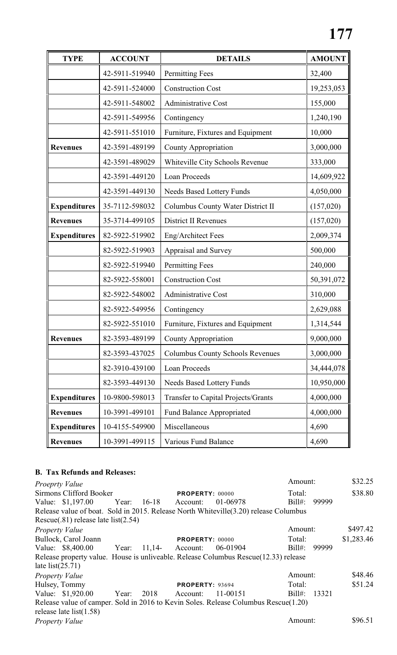| <b>TYPE</b>         | <b>ACCOUNT</b> | <b>DETAILS</b>                          | <b>AMOUNT</b> |
|---------------------|----------------|-----------------------------------------|---------------|
|                     | 42-5911-519940 | <b>Permitting Fees</b>                  | 32,400        |
|                     | 42-5911-524000 | <b>Construction Cost</b>                | 19,253,053    |
|                     | 42-5911-548002 | <b>Administrative Cost</b>              | 155,000       |
|                     | 42-5911-549956 | Contingency                             | 1,240,190     |
|                     | 42-5911-551010 | Furniture, Fixtures and Equipment       | 10,000        |
| <b>Revenues</b>     | 42-3591-489199 | <b>County Appropriation</b>             | 3,000,000     |
|                     | 42-3591-489029 | Whiteville City Schools Revenue         | 333,000       |
|                     | 42-3591-449120 | <b>Loan Proceeds</b>                    | 14,609,922    |
|                     | 42-3591-449130 | Needs Based Lottery Funds               | 4,050,000     |
| <b>Expenditures</b> | 35-7112-598032 | Columbus County Water District II       | (157, 020)    |
| <b>Revenues</b>     | 35-3714-499105 | <b>District II Revenues</b>             | (157, 020)    |
| <b>Expenditures</b> | 82-5922-519902 | Eng/Architect Fees                      | 2,009,374     |
|                     | 82-5922-519903 | Appraisal and Survey                    | 500,000       |
|                     | 82-5922-519940 | <b>Permitting Fees</b>                  | 240,000       |
|                     | 82-5922-558001 | <b>Construction Cost</b>                | 50,391,072    |
|                     | 82-5922-548002 | <b>Administrative Cost</b>              | 310,000       |
|                     | 82-5922-549956 | Contingency                             | 2,629,088     |
|                     | 82-5922-551010 | Furniture, Fixtures and Equipment       | 1,314,544     |
| <b>Revenues</b>     | 82-3593-489199 | County Appropriation                    | 9,000,000     |
|                     | 82-3593-437025 | <b>Columbus County Schools Revenues</b> | 3,000,000     |
|                     | 82-3910-439100 | Loan Proceeds                           | 34,444,078    |
|                     | 82-3593-449130 | <b>Needs Based Lottery Funds</b>        | 10,950,000    |
| <b>Expenditures</b> | 10-9800-598013 | Transfer to Capital Projects/Grants     | 4,000,000     |
| <b>Revenues</b>     | 10-3991-499101 | Fund Balance Appropriated               | 4,000,000     |
| <b>Expenditures</b> | 10-4155-549900 | Miscellaneous                           | 4,690         |
| <b>Revenues</b>     | 10-3991-499115 | Various Fund Balance                    | 4,690         |

# **B. Tax Refunds and Releases:**

*Proeprty Value* \$32.25 Sirmons Clifford Booker **PROPERTY:** 00000 Total: \$38.80 Value: \$1,197.00 Year: 16-18 Account: 01-06978 Bill#: 99999 Release value of boat. Sold in 2015. Release North Whiteville(3.20) release Columbus Rescue(.81) release late list(2.54) *Property Value* \$497.42 Bullock, Carol Joann **PROPERTY:** 00000 Total: \$1,283.46 Value: \$8,400.00 Year: 11,14- Account: 06-01904 Bill#: 99999 Release property value. House is unliveable. Release Columbus Rescue(12.33) release late list $(25.71)$ *Property Value* \$48.46 Hulsey, Tommy **PROPERTY:** 93694 Total: \$51.24 Value: \$1,920.00 Year: 2018 Account: 11-00151 Bill#: 13321 Release value of camper. Sold in 2016 to Kevin Soles. Release Columbus Rescue(1.20) release late list(1.58) *Property Value* \$96.51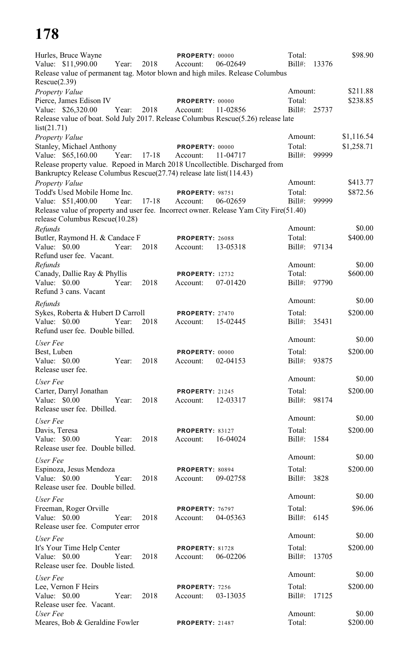| Hurles, Bruce Wayne<br>Value: \$11,990.00<br>Release value of permanent tag. Motor blown and high miles. Release Columbus<br>Rescue(2.39)                                                                                            | Year:       | 2018      | PROPERTY: 00000<br>Account:        | 06-02649 | Total:<br>$Bill#$ :               | 13376 | \$98.90                  |
|--------------------------------------------------------------------------------------------------------------------------------------------------------------------------------------------------------------------------------------|-------------|-----------|------------------------------------|----------|-----------------------------------|-------|--------------------------|
| Property Value<br>Pierce, James Edison IV<br>Value: \$26,320.00<br>Release value of boat. Sold July 2017. Release Columbus Rescue(5.26) release late<br>list(21.71)                                                                  | Year:       | 2018      | PROPERTY: 00000<br>Account:        | 11-02856 | Amount:<br>Total:<br>$Bill#$ :    | 25737 | \$211.88<br>\$238.85     |
| <b>Property Value</b><br><b>Stanley, Michael Anthony</b><br>Value: \$65,160.00<br>Release property value. Repoed in March 2018 Uncollectible. Discharged from<br>Bankruptcy Release Columbus Rescue(27.74) release late list(114.43) | Year: 17-18 |           | <b>PROPERTY: 00000</b><br>Account: | 11-04717 | Amount:<br>Total:<br>Bill#: 99999 |       | \$1,116.54<br>\$1,258.71 |
| Property Value<br>Todd's Used Mobile Home Inc.<br>Value: \$51,400.00<br>Release value of property and user fee. Incorrect owner. Release Yam City Fire(51.40)<br>release Columbus Rescue(10.28)                                      | Year:       | $17 - 18$ | <b>PROPERTY: 98751</b><br>Account: | 06-02659 | Amount:<br>Total:<br>$Bill#$ :    | 99999 | \$413.77<br>\$872.56     |
| Refunds<br>Butler, Raymond H. & Candace F<br>Value: \$0.00                                                                                                                                                                           | Year:       | 2018      | PROPERTY: 26088<br>Account:        | 13-05318 | Amount:<br>Total:<br>$Bill#$ :    | 97134 | \$0.00<br>\$400.00       |
| Refund user fee. Vacant.<br>Refunds<br>Canady, Dallie Ray & Phyllis<br>Value: \$0.00<br>Refund 3 cans. Vacant                                                                                                                        | Year:       | 2018      | <b>PROPERTY: 12732</b><br>Account: | 07-01420 | Amount:<br>Total:<br>Bill#: 97790 |       | \$0.00<br>\$600.00       |
| Refunds<br>Sykes, Roberta & Hubert D Carroll<br>Value: $$0.00$<br>Refund user fee. Double billed.                                                                                                                                    | Year:       | 2018      | PROPERTY: 27470<br>Account:        | 15-02445 | Amount:<br>Total:<br>Bill#: 35431 |       | \$0.00<br>\$200.00       |
| User Fee<br>Best, Luben<br>Value: $$0.00$<br>Release user fee.                                                                                                                                                                       | Year:       | 2018      | PROPERTY: 00000<br>Account:        | 02-04153 | Amount:<br>Total:<br>Bill#: 93875 |       | \$0.00<br>\$200.00       |
| User Fee<br>Carter, Darryl Jonathan<br>Value: \$0.00<br>Release user fee. Dbilled.                                                                                                                                                   | Year:       | 2018      | <b>PROPERTY: 21245</b><br>Account: | 12-03317 | Amount:<br>Total:<br>Bill#: 98174 |       | \$0.00<br>\$200.00       |
| User Fee<br>Davis, Teresa<br>Value: \$0.00<br>Release user fee. Double billed.                                                                                                                                                       | Year:       | 2018      | <b>PROPERTY: 83127</b><br>Account: | 16-04024 | Amount:<br>Total:<br>Bill#: 1584  |       | \$0.00<br>\$200.00       |
| User Fee<br>Espinoza, Jesus Mendoza<br>Value: \$0.00<br>Release user fee. Double billed.                                                                                                                                             | Year:       | 2018      | PROPERTY: 80894<br>Account:        | 09-02758 | Amount:<br>Total:<br>Bill#: 3828  |       | \$0.00<br>\$200.00       |
| User Fee<br>Freeman, Roger Orville<br>Value: \$0.00<br>Release user fee. Computer error                                                                                                                                              | Year:       | 2018      | PROPERTY: 76797<br>Account:        | 04-05363 | Amount:<br>Total:<br>Bill#: 6145  |       | \$0.00<br>\$96.06        |
| User Fee<br>It's Your Time Help Center<br>Value: $$0.00$<br>Release user fee. Double listed.                                                                                                                                         | Year:       | 2018      | <b>PROPERTY: 81728</b><br>Account: | 06-02206 | Amount:<br>Total:<br>Bill#: 13705 |       | \$0.00<br>\$200.00       |
| User Fee<br>Lee, Vernon F Heirs<br>Value: \$0.00<br>Release user fee. Vacant.                                                                                                                                                        | Year:       | 2018      | PROPERTY: 7256<br>Account:         | 03-13035 | Amount:<br>Total:<br>$Bill#$ :    | 17125 | \$0.00<br>\$200.00       |
| User Fee<br>Meares, Bob & Geraldine Fowler                                                                                                                                                                                           |             |           | PROPERTY: 21487                    |          | Amount:<br>Total:                 |       | \$0.00<br>\$200.00       |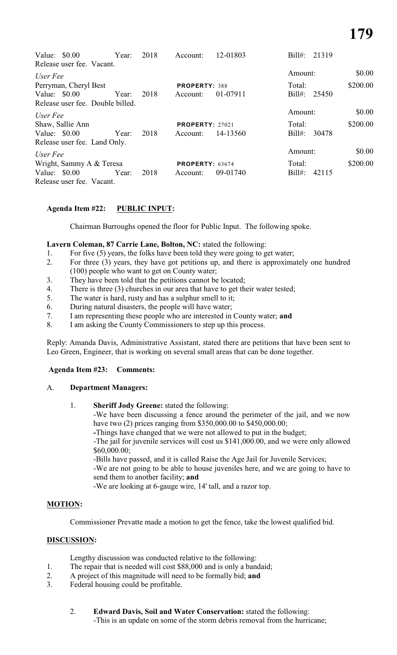| Value: $$0.00$<br>Release user fee. Vacant. | Year: | 2018 | Account:               | 12-01803 | $Bill#$ :<br>21319 |          |
|---------------------------------------------|-------|------|------------------------|----------|--------------------|----------|
| User Fee                                    |       |      |                        |          | Amount:            | \$0.00   |
| Perryman, Cheryl Best                       |       |      | <b>PROPERTY: 388</b>   |          | Total:             | \$200.00 |
| Value: $$0.00$                              | Year: | 2018 | Account:               | 01-07911 | Bill#:<br>25450    |          |
| Release user fee. Double billed.            |       |      |                        |          |                    |          |
| User Fee                                    |       |      |                        |          | Amount:            | \$0.00   |
| Shaw, Sallie Ann                            |       |      | <b>PROPERTY: 27021</b> |          | Total:             | \$200.00 |
| Value: $$0.00$                              | Year: | 2018 | Account:               | 14-13560 | $Bill#$ :<br>30478 |          |
| Release user fee. Land Only.                |       |      |                        |          |                    |          |
| User Fee                                    |       |      |                        |          | Amount:            | \$0.00   |
| Wright, Sammy A & Teresa                    |       |      | <b>PROPERTY: 63674</b> |          | Total:             | \$200.00 |
| Value: $$0.00$                              | Year: | 2018 | Account:               | 09-01740 | $Bill#$ :<br>42115 |          |
| Release user fee. Vacant.                   |       |      |                        |          |                    |          |

# **Agenda Item #22: PUBLIC INPUT:**

Chairman Burroughs opened the floor for Public Input. The following spoke.

### Lavern Coleman, 87 Carrie Lane, Bolton, NC: stated the following:

- 1. For five (5) years, the folks have been told they were going to get water;
- 2. For three (3) years, they have got petitions up, and there is approximately one hundred (100) people who want to get on County water;
- 3. They have been told that the petitions cannot be located;
- 4. There is three (3) churches in our area that have to get their water tested;
- 5. The water is hard, rusty and has a sulphur smell to it;
- 6. During natural disasters, the people will have water;
- 7. I am representing these people who are interested in County water; **and**
- 8. I am asking the County Commissioners to step up this process.

Reply: Amanda Davis, Administrative Assistant, stated there are petitions that have been sent to Leo Green, Engineer, that is working on several small areas that can be done together.

### **Agenda Item #23: Comments:**

### A. **Department Managers:**

1. **Sheriff Jody Greene:** stated the following:

-We have been discussing a fence around the perimeter of the jail, and we now have two (2) prices ranging from \$350,000.00 to \$450,000.00;

**-**Things have changed that we were not allowed to put in the budget;

-The jail for juvenile services will cost us \$141,000.00, and we were only allowed \$60,000.00;

-Bills have passed, and it is called Raise the Age Jail for Juvenile Services;

-We are not going to be able to house juveniles here, and we are going to have to send them to another facility; **and**

-We are looking at 6-gauge wire, 14' tall, and a razor top.

### **MOTION:**

Commissioner Prevatte made a motion to get the fence, take the lowest qualified bid.

### **DISCUSSION:**

Lengthy discussion was conducted relative to the following:

- 1. The repair that is needed will cost \$88,000 and is only a bandaid;
- 2. A project of this magnitude will need to be formally bid; **and**<br>3. Federal housing could be profitable.
- Federal housing could be profitable.
	- 2. **Edward Davis, Soil and Water Conservation:** stated the following: -This is an update on some of the storm debris removal from the hurricane;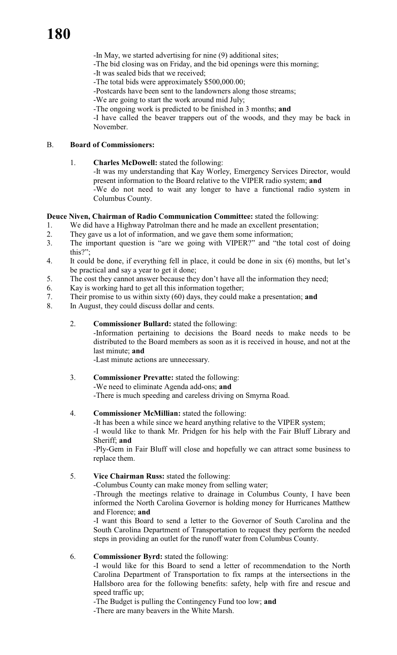-In May, we started advertising for nine (9) additional sites;

- -The bid closing was on Friday, and the bid openings were this morning;
- -It was sealed bids that we received;
- -The total bids were approximately \$500,000.00;
- -Postcards have been sent to the landowners along those streams;
- -We are going to start the work around mid July;
- -The ongoing work is predicted to be finished in 3 months; **and**

-I have called the beaver trappers out of the woods, and they may be back in November.

### B. **Board of Commissioners:**

1. **Charles McDowell:** stated the following:

-It was my understanding that Kay Worley, Emergency Services Director, would present information to the Board relative to the VIPER radio system; **and** -We do not need to wait any longer to have a functional radio system in Columbus County.

### **Deuce Niven, Chairman of Radio Communication Committee:** stated the following:

1. We did have a Highway Patrolman there and he made an excellent presentation;

- 2. They gave us a lot of information, and we gave them some information;
- 3. The important question is "are we going with VIPER?" and "the total cost of doing this?";
- 4. It could be done, if everything fell in place, it could be done in six (6) months, but let's be practical and say a year to get it done;
- 5. The cost they cannot answer because they don't have all the information they need;
- 6. Kay is working hard to get all this information together;
- 7. Their promise to us within sixty (60) days, they could make a presentation; **and**
- 8. In August, they could discuss dollar and cents.

# 2. **Commissioner Bullard:** stated the following:

-Information pertaining to decisions the Board needs to make needs to be distributed to the Board members as soon as it is received in house, and not at the last minute; **and**

-Last minute actions are unnecessary.

3. **Commissioner Prevatte:** stated the following: -We need to eliminate Agenda add-ons; **and** -There is much speeding and careless driving on Smyrna Road.

### 4. **Commissioner McMillian:** stated the following:

-It has been a while since we heard anything relative to the VIPER system;

-I would like to thank Mr. Pridgen for his help with the Fair Bluff Library and Sheriff; **and**

-Ply-Gem in Fair Bluff will close and hopefully we can attract some business to replace them.

# 5. **Vice Chairman Russ:** stated the following:

-Columbus County can make money from selling water;

-Through the meetings relative to drainage in Columbus County, I have been informed the North Carolina Governor is holding money for Hurricanes Matthew and Florence; **and**

-I want this Board to send a letter to the Governor of South Carolina and the South Carolina Department of Transportation to request they perform the needed steps in providing an outlet for the runoff water from Columbus County.

6. **Commissioner Byrd:** stated the following:

-I would like for this Board to send a letter of recommendation to the North Carolina Department of Transportation to fix ramps at the intersections in the Hallsboro area for the following benefits: safety, help with fire and rescue and speed traffic up;

-The Budget is pulling the Contingency Fund too low; **and**

-There are many beavers in the White Marsh.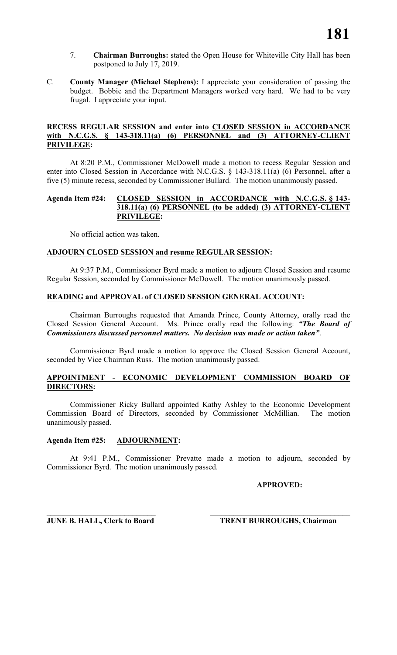- 7. **Chairman Burroughs:** stated the Open House for Whiteville City Hall has been postponed to July 17, 2019.
- C. **County Manager (Michael Stephens):** I appreciate your consideration of passing the budget. Bobbie and the Department Managers worked very hard. We had to be very frugal. I appreciate your input.

### **RECESS REGULAR SESSION and enter into CLOSED SESSION in ACCORDANCE with N.C.G.S. § 143-318.11(a) (6) PERSONNEL and (3) ATTORNEY-CLIENT PRIVILEGE:**

At 8:20 P.M., Commissioner McDowell made a motion to recess Regular Session and enter into Closed Session in Accordance with N.C.G.S. § 143-318.11(a) (6) Personnel, after a five (5) minute recess, seconded by Commissioner Bullard. The motion unanimously passed.

### **Agenda Item #24: CLOSED SESSION in ACCORDANCE with N.C.G.S. § 143- 318.11(a) (6) PERSONNEL (to be added) (3) ATTORNEY-CLIENT PRIVILEGE:**

No official action was taken.

### **ADJOURN CLOSED SESSION and resume REGULAR SESSION:**

At 9:37 P.M., Commissioner Byrd made a motion to adjourn Closed Session and resume Regular Session, seconded by Commissioner McDowell. The motion unanimously passed.

### **READING and APPROVAL of CLOSED SESSION GENERAL ACCOUNT:**

Chairman Burroughs requested that Amanda Prince, County Attorney, orally read the Closed Session General Account. Ms. Prince orally read the following: *"The Board of Commissioners discussed personnel matters. No decision was made or action taken"*.

Commissioner Byrd made a motion to approve the Closed Session General Account, seconded by Vice Chairman Russ. The motion unanimously passed.

### **APPOINTMENT - ECONOMIC DEVELOPMENT COMMISSION BOARD OF DIRECTORS:**

Commissioner Ricky Bullard appointed Kathy Ashley to the Economic Development Commission Board of Directors, seconded by Commissioner McMillian. The motion unanimously passed.

### **Agenda Item #25: ADJOURNMENT:**

At 9:41 P.M., Commissioner Prevatte made a motion to adjourn, seconded by Commissioner Byrd. The motion unanimously passed.

### **APPROVED:**

**\_\_\_\_\_\_\_\_\_\_\_\_\_\_\_\_\_\_\_\_\_\_\_\_\_\_\_\_ \_\_\_\_\_\_\_\_\_\_\_\_\_\_\_\_\_\_\_\_\_\_\_\_\_\_\_\_\_\_\_\_\_\_\_\_**

**JUNE B. HALL, Clerk to Board TRENT BURROUGHS, Chairman**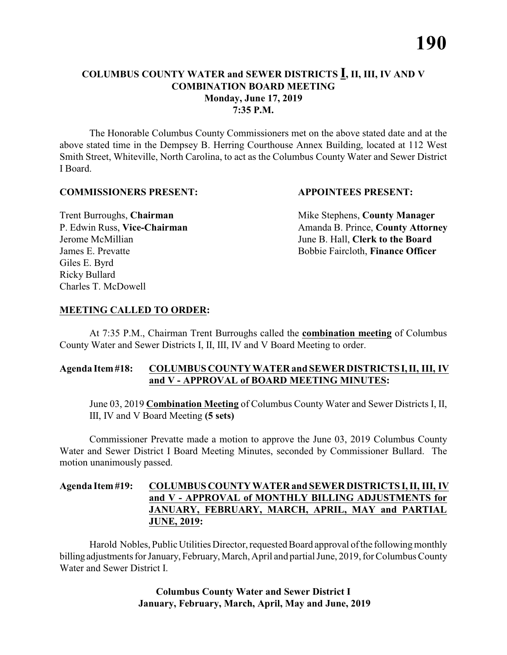### **COLUMBUS COUNTY WATER and SEWER DISTRICTS I, II, III, IV AND V COMBINATION BOARD MEETING Monday, June 17, 2019 7:35 P.M.**

The Honorable Columbus County Commissioners met on the above stated date and at the above stated time in the Dempsey B. Herring Courthouse Annex Building, located at 112 West Smith Street, Whiteville, North Carolina, to act as the Columbus County Water and Sewer District I Board.

### **COMMISSIONERS PRESENT: APPOINTEES PRESENT:**

Giles E. Byrd Ricky Bullard Charles T. McDowell

**Trent Burroughs, Chairman** Mike Stephens, **County Manager** P. Edwin Russ, Vice-Chairman Amanda B. Prince, County Attorney Jerome McMillian June B. Hall, **Clerk to the Board** James E. Prevatte Bobbie Faircloth, **Finance Officer**

### **MEETING CALLED TO ORDER:**

At 7:35 P.M., Chairman Trent Burroughs called the **combination meeting** of Columbus County Water and Sewer Districts I, II, III, IV and V Board Meeting to order.

### **Agenda Item #18: COLUMBUS COUNTY WATER and SEWER DISTRICTS I, II, III, IV and V - APPROVAL of BOARD MEETING MINUTES:**

June 03, 2019 **Combination Meeting** of Columbus County Water and Sewer Districts I, II, III, IV and V Board Meeting **(5 sets)**

Commissioner Prevatte made a motion to approve the June 03, 2019 Columbus County Water and Sewer District I Board Meeting Minutes, seconded by Commissioner Bullard. The motion unanimously passed.

### **Agenda Item #19: COLUMBUS COUNTY WATER and SEWER DISTRICTS I, II, III, IV and V - APPROVAL of MONTHLY BILLING ADJUSTMENTS for JANUARY, FEBRUARY, MARCH, APRIL, MAY and PARTIAL JUNE, 2019:**

Harold Nobles, Public Utilities Director, requested Board approval of the following monthly billing adjustments for January, February, March, April and partial June, 2019, for Columbus County Water and Sewer District I.

> **Columbus County Water and Sewer District I January, February, March, April, May and June, 2019**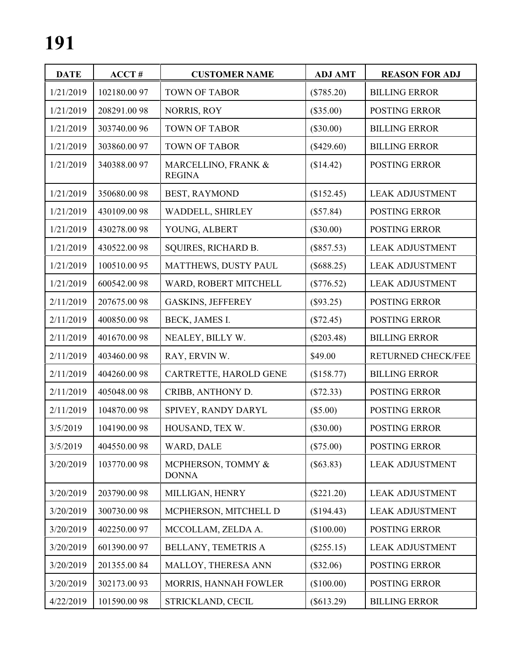| <b>DATE</b> | ACCT#        | <b>CUSTOMER NAME</b>                 | <b>ADJ AMT</b> | <b>REASON FOR ADJ</b>  |
|-------------|--------------|--------------------------------------|----------------|------------------------|
| 1/21/2019   | 102180.0097  | <b>TOWN OF TABOR</b>                 | (\$785.20)     | <b>BILLING ERROR</b>   |
| 1/21/2019   | 208291.0098  | NORRIS, ROY                          | $(\$35.00)$    | POSTING ERROR          |
| 1/21/2019   | 303740.00 96 | <b>TOWN OF TABOR</b>                 | $(\$30.00)$    | <b>BILLING ERROR</b>   |
| 1/21/2019   | 303860.0097  | <b>TOWN OF TABOR</b>                 | $(\$429.60)$   | <b>BILLING ERROR</b>   |
| 1/21/2019   | 340388.0097  | MARCELLINO, FRANK &<br><b>REGINA</b> | (\$14.42)      | POSTING ERROR          |
| 1/21/2019   | 350680.0098  | BEST, RAYMOND                        | (\$152.45)     | <b>LEAK ADJUSTMENT</b> |
| 1/21/2019   | 430109.0098  | WADDELL, SHIRLEY                     | (\$57.84)      | POSTING ERROR          |
| 1/21/2019   | 430278.0098  | YOUNG, ALBERT                        | $(\$30.00)$    | POSTING ERROR          |
| 1/21/2019   | 430522.0098  | SQUIRES, RICHARD B.                  | $(\$857.53)$   | <b>LEAK ADJUSTMENT</b> |
| 1/21/2019   | 100510.0095  | MATTHEWS, DUSTY PAUL                 | $(\$688.25)$   | <b>LEAK ADJUSTMENT</b> |
| 1/21/2019   | 600542.0098  | WARD, ROBERT MITCHELL                | $(\$776.52)$   | <b>LEAK ADJUSTMENT</b> |
| 2/11/2019   | 207675.0098  | <b>GASKINS, JEFFEREY</b>             | (\$93.25)      | POSTING ERROR          |
| 2/11/2019   | 400850.0098  | BECK, JAMES I.                       | (\$72.45)      | POSTING ERROR          |
| 2/11/2019   | 401670.0098  | NEALEY, BILLY W.                     | $(\$203.48)$   | <b>BILLING ERROR</b>   |
| 2/11/2019   | 403460.0098  | RAY, ERVIN W.                        | \$49.00        | RETURNED CHECK/FEE     |
| 2/11/2019   | 404260.0098  | CARTRETTE, HAROLD GENE               | (\$158.77)     | <b>BILLING ERROR</b>   |
| 2/11/2019   | 405048.0098  | CRIBB, ANTHONY D.                    | (\$72.33)      | POSTING ERROR          |
| 2/11/2019   | 104870.0098  | SPIVEY, RANDY DARYL                  | (\$5.00)       | POSTING ERROR          |
| 3/5/2019    | 104190.0098  | HOUSAND, TEX W.                      | $(\$30.00)$    | <b>POSTING ERROR</b>   |
| 3/5/2019    | 404550.0098  | WARD, DALE                           | $(\$75.00)$    | POSTING ERROR          |
| 3/20/2019   | 103770.0098  | MCPHERSON, TOMMY &<br><b>DONNA</b>   | $(\$63.83)$    | <b>LEAK ADJUSTMENT</b> |
| 3/20/2019   | 203790.0098  | MILLIGAN, HENRY                      | $(\$221.20)$   | <b>LEAK ADJUSTMENT</b> |
| 3/20/2019   | 300730.0098  | MCPHERSON, MITCHELL D                | (\$194.43)     | <b>LEAK ADJUSTMENT</b> |
| 3/20/2019   | 402250.0097  | MCCOLLAM, ZELDA A.                   | (\$100.00)     | POSTING ERROR          |
| 3/20/2019   | 601390.0097  | BELLANY, TEMETRIS A                  | $(\$255.15)$   | <b>LEAK ADJUSTMENT</b> |
| 3/20/2019   | 201355.0084  | MALLOY, THERESA ANN                  | $(\$32.06)$    | POSTING ERROR          |
| 3/20/2019   | 302173.0093  | MORRIS, HANNAH FOWLER                | (\$100.00)     | POSTING ERROR          |
| 4/22/2019   | 101590.0098  | STRICKLAND, CECIL                    | $(\$613.29)$   | <b>BILLING ERROR</b>   |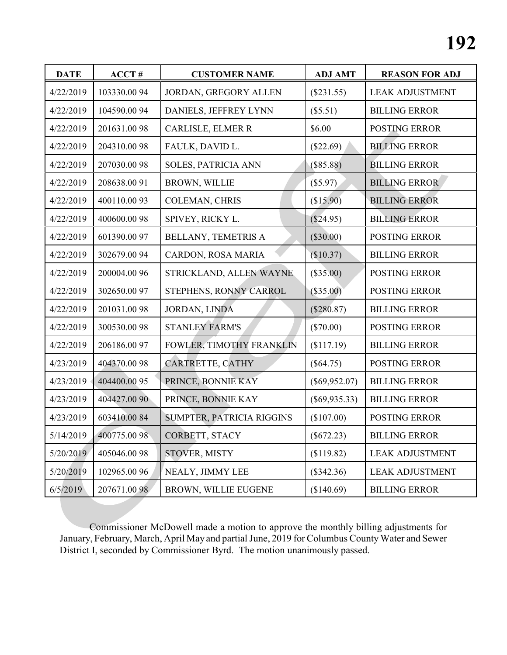| <b>DATE</b> | ACCT#        | <b>CUSTOMER NAME</b>       | <b>ADJ AMT</b>  | <b>REASON FOR ADJ</b>  |
|-------------|--------------|----------------------------|-----------------|------------------------|
| 4/22/2019   | 103330.0094  | JORDAN, GREGORY ALLEN      | $(\$231.55)$    | <b>LEAK ADJUSTMENT</b> |
| 4/22/2019   | 104590.0094  | DANIELS, JEFFREY LYNN      | (\$5.51)        | <b>BILLING ERROR</b>   |
| 4/22/2019   | 201631.0098  | CARLISLE, ELMER R          | \$6.00          | <b>POSTING ERROR</b>   |
| 4/22/2019   | 204310.0098  | FAULK, DAVID L.            | (\$22.69)       | <b>BILLING ERROR</b>   |
| 4/22/2019   | 207030.0098  | <b>SOLES, PATRICIA ANN</b> | $(\$85.88)$     | <b>BILLING ERROR</b>   |
| 4/22/2019   | 208638.0091  | <b>BROWN, WILLIE</b>       | (\$5.97)        | <b>BILLING ERROR</b>   |
| 4/22/2019   | 400110.0093  | COLEMAN, CHRIS             | (\$15.90)       | <b>BILLING ERROR</b>   |
| 4/22/2019   | 400600.0098  | SPIVEY, RICKY L.           | (\$24.95)       | <b>BILLING ERROR</b>   |
| 4/22/2019   | 601390.0097  | BELLANY, TEMETRIS A        | $(\$30.00)$     | POSTING ERROR          |
| 4/22/2019   | 302679.0094  | CARDON, ROSA MARIA         | (\$10.37)       | <b>BILLING ERROR</b>   |
| 4/22/2019   | 200004.00 96 | STRICKLAND, ALLEN WAYNE    | $(\$35.00)$     | POSTING ERROR          |
| 4/22/2019   | 302650.0097  | STEPHENS, RONNY CARROL     | (\$35.00)       | <b>POSTING ERROR</b>   |
| 4/22/2019   | 201031.0098  | <b>JORDAN, LINDA</b>       | (\$280.87)      | <b>BILLING ERROR</b>   |
| 4/22/2019   | 300530.0098  | <b>STANLEY FARM'S</b>      | $(\$70.00)$     | POSTING ERROR          |
| 4/22/2019   | 206186.0097  | FOWLER, TIMOTHY FRANKLIN   | (\$117.19)      | <b>BILLING ERROR</b>   |
| 4/23/2019   | 404370.0098  | CARTRETTE, CATHY           | $(\$64.75)$     | POSTING ERROR          |
| 4/23/2019   | 404400.00 95 | PRINCE, BONNIE KAY         | $(\$69,952.07)$ | <b>BILLING ERROR</b>   |
| 4/23/2019   | 404427.0090  | PRINCE, BONNIE KAY         | $(\$69,935.33)$ | <b>BILLING ERROR</b>   |
| 4/23/2019   | 603410.0084  | SUMPTER, PATRICIA RIGGINS  | (\$107.00)      | <b>POSTING ERROR</b>   |
| 5/14/2019   | 400775.0098  | CORBETT, STACY             | $(\$672.23)$    | <b>BILLING ERROR</b>   |
| 5/20/2019   | 405046.0098  | STOVER, MISTY              | (\$119.82)      | <b>LEAK ADJUSTMENT</b> |
| 5/20/2019   | 102965.00 96 | NEALY, JIMMY LEE           | (\$342.36)      | <b>LEAK ADJUSTMENT</b> |
| 6/5/2019    | 207671.0098  | BROWN, WILLIE EUGENE       | (\$140.69)      | <b>BILLING ERROR</b>   |

Commissioner McDowell made a motion to approve the monthly billing adjustments for January, February, March, April May and partial June, 2019 for Columbus County Water and Sewer District I, seconded by Commissioner Byrd. The motion unanimously passed.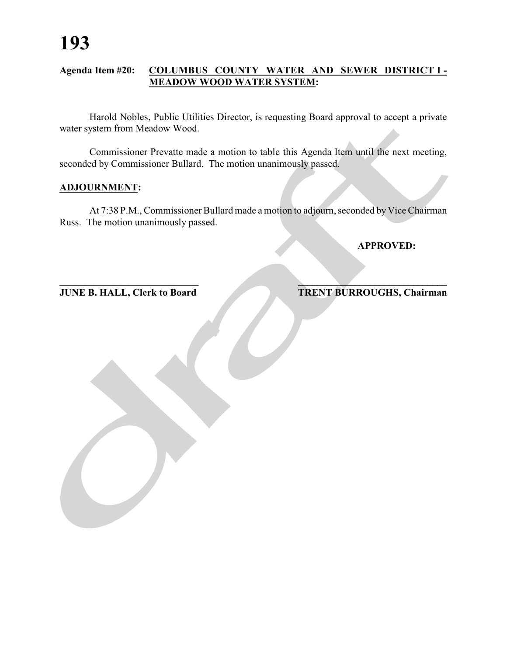### **Agenda Item #20: COLUMBUS COUNTY WATER AND SEWER DISTRICT I - MEADOW WOOD WATER SYSTEM:**

Harold Nobles, Public Utilities Director, is requesting Board approval to accept a private water system from Meadow Wood.

Commissioner Prevatte made a motion to table this Agenda Item until the next meeting, seconded by Commissioner Bullard. The motion unanimously passed.

### **ADJOURNMENT:**

At 7:38 P.M., Commissioner Bullard made a motion to adjourn, seconded by Vice Chairman Russ. The motion unanimously passed.

**\_\_\_\_\_\_\_\_\_\_\_\_\_\_\_\_\_\_\_\_\_\_\_\_\_\_\_\_ \_\_\_\_\_\_\_\_\_\_\_\_\_\_\_\_\_\_\_\_\_\_\_\_\_\_\_\_\_\_\_**

### **APPROVED:**

**JUNE B. HALL, Clerk to Board TRENT BURROUGHS, Chairman**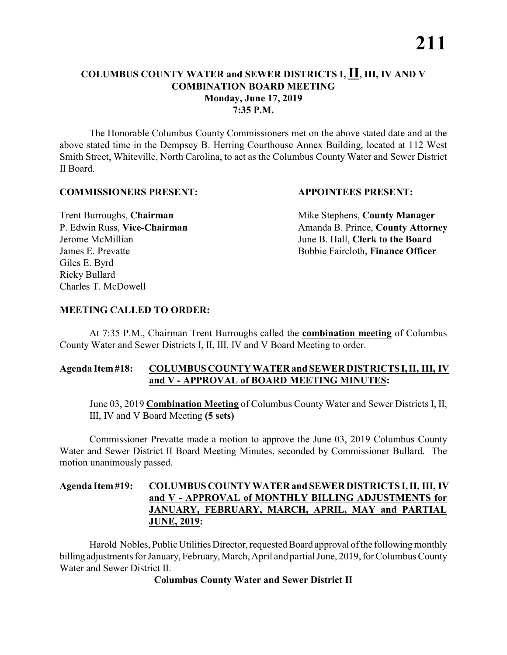### **COLUMBUS COUNTY WATER and SEWER DISTRICTS I, II, III, IV AND V COMBINATION BOARD MEETING Monday, June 17, 2019 7:35 P.M.**

The Honorable Columbus County Commissioners met on the above stated date and at the above stated time in the Dempsey B. Herring Courthouse Annex Building, located at 112 West Smith Street, Whiteville, North Carolina, to act as the Columbus County Water and Sewer District II Board.

### **COMMISSIONERS PRESENT: APPOINTEES PRESENT:**

Giles E. Byrd Ricky Bullard Charles T. McDowell

Trent Burroughs, **Chairman** Mike Stephens, **County Manager** P. Edwin Russ, Vice-Chairman Amanda B. Prince, County Attorney Jerome McMillian June B. Hall, **Clerk to the Board** James E. Prevatte Bobbie Faircloth, **Finance Officer**

### **MEETING CALLED TO ORDER:**

At 7:35 P.M., Chairman Trent Burroughs called the **combination meeting** of Columbus County Water and Sewer Districts I, II, III, IV and V Board Meeting to order.

### **Agenda Item #18: COLUMBUS COUNTY WATER and SEWER DISTRICTS I, II, III, IV and V - APPROVAL of BOARD MEETING MINUTES:**

June 03, 2019 **Combination Meeting** of Columbus County Water and Sewer Districts I, II, III, IV and V Board Meeting **(5 sets)**

Commissioner Prevatte made a motion to approve the June 03, 2019 Columbus County Water and Sewer District II Board Meeting Minutes, seconded by Commissioner Bullard. The motion unanimously passed.

### **Agenda Item #19: COLUMBUS COUNTY WATER and SEWER DISTRICTS I, II, III, IV and V - APPROVAL of MONTHLY BILLING ADJUSTMENTS for JANUARY, FEBRUARY, MARCH, APRIL, MAY and PARTIAL JUNE, 2019:**

Harold Nobles, Public Utilities Director, requested Board approval of the following monthly billing adjustments for January, February, March, April and partial June, 2019, for Columbus County Water and Sewer District II.

### **Columbus County Water and Sewer District II**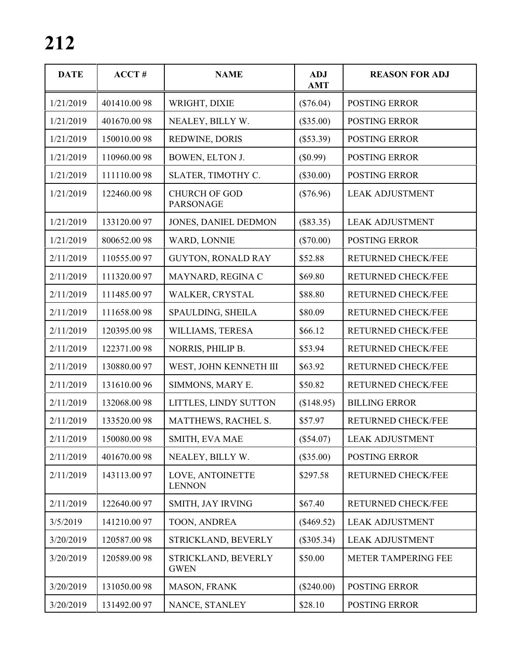| <b>DATE</b> | ACCT#       | <b>NAME</b>                              | <b>ADJ</b><br><b>AMT</b> | <b>REASON FOR ADJ</b>     |
|-------------|-------------|------------------------------------------|--------------------------|---------------------------|
| 1/21/2019   | 401410.0098 | WRIGHT, DIXIE                            | $(\$76.04)$              | <b>POSTING ERROR</b>      |
| 1/21/2019   | 401670.0098 | NEALEY, BILLY W.                         | $(\$35.00)$              | <b>POSTING ERROR</b>      |
| 1/21/2019   | 150010.0098 | REDWINE, DORIS                           | $(\$53.39)$              | POSTING ERROR             |
| 1/21/2019   | 110960.0098 | BOWEN, ELTON J.                          | (\$0.99)                 | <b>POSTING ERROR</b>      |
| 1/21/2019   | 111110.0098 | SLATER, TIMOTHY C.                       | $(\$30.00)$              | <b>POSTING ERROR</b>      |
| 1/21/2019   | 122460.0098 | <b>CHURCH OF GOD</b><br><b>PARSONAGE</b> | $(\$76.96)$              | <b>LEAK ADJUSTMENT</b>    |
| 1/21/2019   | 133120.0097 | JONES, DANIEL DEDMON                     | (\$83.35)                | <b>LEAK ADJUSTMENT</b>    |
| 1/21/2019   | 800652.0098 | WARD, LONNIE                             | $(\$70.00)$              | <b>POSTING ERROR</b>      |
| 2/11/2019   | 110555.0097 | <b>GUYTON, RONALD RAY</b>                | \$52.88                  | <b>RETURNED CHECK/FEE</b> |
| 2/11/2019   | 111320.0097 | MAYNARD, REGINA C                        | \$69.80                  | <b>RETURNED CHECK/FEE</b> |
| 2/11/2019   | 111485.0097 | WALKER, CRYSTAL                          | \$88.80                  | <b>RETURNED CHECK/FEE</b> |
| 2/11/2019   | 111658.0098 | SPAULDING, SHEILA                        | \$80.09                  | RETURNED CHECK/FEE        |
| 2/11/2019   | 120395.0098 | WILLIAMS, TERESA                         | \$66.12                  | RETURNED CHECK/FEE        |
| 2/11/2019   | 122371.0098 | NORRIS, PHILIP B.                        | \$53.94                  | <b>RETURNED CHECK/FEE</b> |
| 2/11/2019   | 130880.0097 | WEST, JOHN KENNETH III                   | \$63.92                  | RETURNED CHECK/FEE        |
| 2/11/2019   | 131610.0096 | SIMMONS, MARY E.                         | \$50.82                  | RETURNED CHECK/FEE        |
| 2/11/2019   | 132068.0098 | LITTLES, LINDY SUTTON                    | (\$148.95)               | <b>BILLING ERROR</b>      |
| 2/11/2019   | 133520.0098 | MATTHEWS, RACHEL S.                      | \$57.97                  | RETURNED CHECK/FEE        |
| 2/11/2019   | 150080.0098 | SMITH, EVA MAE                           | (\$54.07)                | <b>LEAK ADJUSTMENT</b>    |
| 2/11/2019   | 401670.0098 | NEALEY, BILLY W.                         | $(\$35.00)$              | <b>POSTING ERROR</b>      |
| 2/11/2019   | 143113.0097 | LOVE, ANTOINETTE<br><b>LENNON</b>        | \$297.58                 | RETURNED CHECK/FEE        |
| 2/11/2019   | 122640.0097 | SMITH, JAY IRVING                        | \$67.40                  | RETURNED CHECK/FEE        |
| 3/5/2019    | 141210.0097 | TOON, ANDREA                             | $(\$469.52)$             | <b>LEAK ADJUSTMENT</b>    |
| 3/20/2019   | 120587.0098 | STRICKLAND, BEVERLY                      | $(\$305.34)$             | <b>LEAK ADJUSTMENT</b>    |
| 3/20/2019   | 120589.0098 | STRICKLAND, BEVERLY<br><b>GWEN</b>       | \$50.00                  | METER TAMPERING FEE       |
| 3/20/2019   | 131050.0098 | MASON, FRANK                             | (\$240.00)               | POSTING ERROR             |
| 3/20/2019   | 131492.0097 | NANCE, STANLEY                           | \$28.10                  | POSTING ERROR             |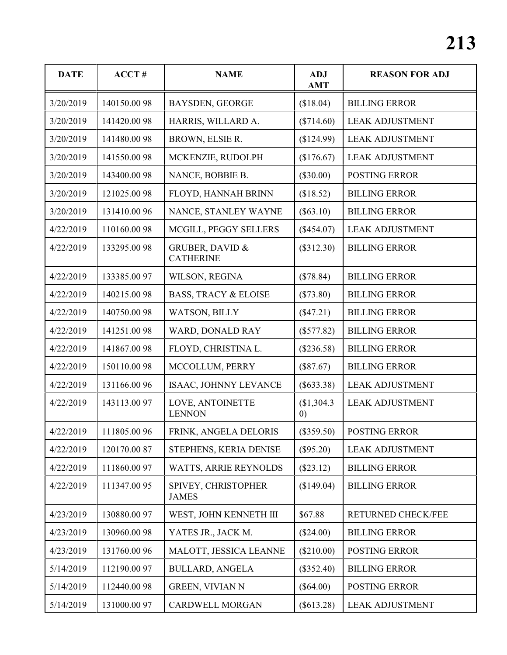| <b>DATE</b> | ACCT#        | <b>NAME</b>                                    | <b>ADJ</b><br><b>AMT</b>       | <b>REASON FOR ADJ</b>  |
|-------------|--------------|------------------------------------------------|--------------------------------|------------------------|
| 3/20/2019   | 140150.0098  | <b>BAYSDEN, GEORGE</b>                         | (\$18.04)                      | <b>BILLING ERROR</b>   |
| 3/20/2019   | 141420.0098  | HARRIS, WILLARD A.                             | $(\$714.60)$                   | <b>LEAK ADJUSTMENT</b> |
| 3/20/2019   | 141480.0098  | BROWN, ELSIE R.                                | (\$124.99)                     | <b>LEAK ADJUSTMENT</b> |
| 3/20/2019   | 141550.0098  | MCKENZIE, RUDOLPH                              | (\$176.67)                     | <b>LEAK ADJUSTMENT</b> |
| 3/20/2019   | 143400.0098  | NANCE, BOBBIE B.                               | $(\$30.00)$                    | POSTING ERROR          |
| 3/20/2019   | 121025.0098  | FLOYD, HANNAH BRINN                            | (\$18.52)                      | <b>BILLING ERROR</b>   |
| 3/20/2019   | 131410.0096  | NANCE, STANLEY WAYNE                           | $(\$63.10)$                    | <b>BILLING ERROR</b>   |
| 4/22/2019   | 110160.0098  | MCGILL, PEGGY SELLERS                          | (\$454.07)                     | <b>LEAK ADJUSTMENT</b> |
| 4/22/2019   | 133295.0098  | <b>GRUBER, DAVID &amp;</b><br><b>CATHERINE</b> | $(\$312.30)$                   | <b>BILLING ERROR</b>   |
| 4/22/2019   | 133385.0097  | WILSON, REGINA                                 | (\$78.84)                      | <b>BILLING ERROR</b>   |
| 4/22/2019   | 140215.0098  | <b>BASS, TRACY &amp; ELOISE</b>                | $(\$73.80)$                    | <b>BILLING ERROR</b>   |
| 4/22/2019   | 140750.0098  | WATSON, BILLY                                  | (\$47.21)                      | <b>BILLING ERROR</b>   |
| 4/22/2019   | 141251.0098  | WARD, DONALD RAY                               | $(\$577.82)$                   | <b>BILLING ERROR</b>   |
| 4/22/2019   | 141867.0098  | FLOYD, CHRISTINA L.                            | $(\$236.58)$                   | <b>BILLING ERROR</b>   |
| 4/22/2019   | 150110.0098  | MCCOLLUM, PERRY                                | (\$87.67)                      | <b>BILLING ERROR</b>   |
| 4/22/2019   | 131166.0096  | ISAAC, JOHNNY LEVANCE                          | $(\$633.38)$                   | <b>LEAK ADJUSTMENT</b> |
| 4/22/2019   | 143113.0097  | LOVE, ANTOINETTE<br><b>LENNON</b>              | \$1,304.3<br>$\left( 0\right)$ | <b>LEAK ADJUSTMENT</b> |
| 4/22/2019   | 111805.0096  | FRINK, ANGELA DELORIS                          | $(\$359.50)$                   | POSTING ERROR          |
| 4/22/2019   | 120170.0087  | STEPHENS, KERIA DENISE                         | $(\$95.20)$                    | <b>LEAK ADJUSTMENT</b> |
| 4/22/2019   | 111860.0097  | <b>WATTS, ARRIE REYNOLDS</b>                   | $(\$23.12)$                    | <b>BILLING ERROR</b>   |
| 4/22/2019   | 111347.0095  | SPIVEY, CHRISTOPHER<br><b>JAMES</b>            | (\$149.04)                     | <b>BILLING ERROR</b>   |
| 4/23/2019   | 130880.0097  | WEST, JOHN KENNETH III                         | \$67.88                        | RETURNED CHECK/FEE     |
| 4/23/2019   | 130960.0098  | YATES JR., JACK M.                             | (\$24.00)                      | <b>BILLING ERROR</b>   |
| 4/23/2019   | 131760.00 96 | MALOTT, JESSICA LEANNE                         | (\$210.00)                     | POSTING ERROR          |
| 5/14/2019   | 112190.00 97 | <b>BULLARD, ANGELA</b>                         | $(\$352.40)$                   | <b>BILLING ERROR</b>   |
| 5/14/2019   | 112440.0098  | <b>GREEN, VIVIAN N</b>                         | $(\$64.00)$                    | POSTING ERROR          |
| 5/14/2019   | 131000.0097  | <b>CARDWELL MORGAN</b>                         | $(\$613.28)$                   | <b>LEAK ADJUSTMENT</b> |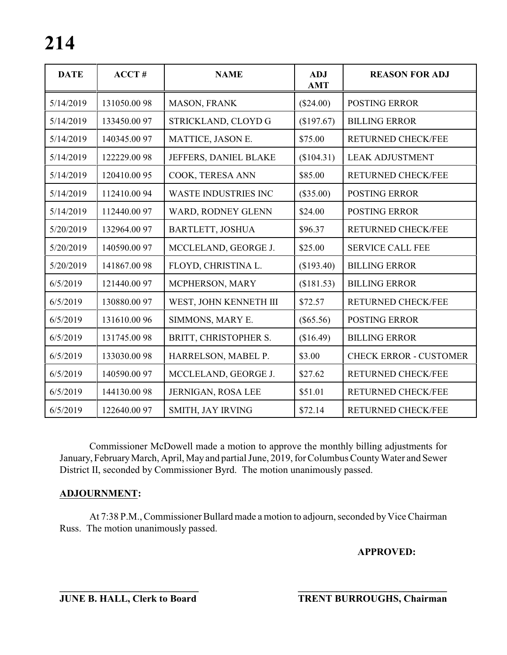| <b>DATE</b> | ACCT#       | <b>NAME</b>                 | <b>ADJ</b><br><b>AMT</b> | <b>REASON FOR ADJ</b>         |
|-------------|-------------|-----------------------------|--------------------------|-------------------------------|
| 5/14/2019   | 131050.0098 | MASON, FRANK                | (\$24.00)                | <b>POSTING ERROR</b>          |
| 5/14/2019   | 133450.0097 | STRICKLAND, CLOYD G         | (\$197.67)               | <b>BILLING ERROR</b>          |
| 5/14/2019   | 140345.0097 | MATTICE, JASON E.           | \$75.00                  | <b>RETURNED CHECK/FEE</b>     |
| 5/14/2019   | 122229.0098 | JEFFERS, DANIEL BLAKE       | (\$104.31)               | <b>LEAK ADJUSTMENT</b>        |
| 5/14/2019   | 120410.0095 | COOK, TERESA ANN            | \$85.00                  | <b>RETURNED CHECK/FEE</b>     |
| 5/14/2019   | 112410.0094 | <b>WASTE INDUSTRIES INC</b> | $(\$35.00)$              | <b>POSTING ERROR</b>          |
| 5/14/2019   | 112440.0097 | WARD, RODNEY GLENN          | \$24.00                  | <b>POSTING ERROR</b>          |
| 5/20/2019   | 132964.0097 | <b>BARTLETT, JOSHUA</b>     | \$96.37                  | <b>RETURNED CHECK/FEE</b>     |
| 5/20/2019   | 140590.0097 | MCCLELAND, GEORGE J.        | \$25.00                  | <b>SERVICE CALL FEE</b>       |
| 5/20/2019   | 141867.0098 | FLOYD, CHRISTINA L.         | (\$193.40)               | <b>BILLING ERROR</b>          |
| 6/5/2019    | 121440.0097 | MCPHERSON, MARY             | (\$181.53)               | <b>BILLING ERROR</b>          |
| 6/5/2019    | 130880.0097 | WEST, JOHN KENNETH III      | \$72.57                  | <b>RETURNED CHECK/FEE</b>     |
| 6/5/2019    | 131610.0096 | SIMMONS, MARY E.            | $(\$65.56)$              | <b>POSTING ERROR</b>          |
| 6/5/2019    | 131745.0098 | BRITT, CHRISTOPHER S.       | (\$16.49)                | <b>BILLING ERROR</b>          |
| 6/5/2019    | 133030.0098 | HARRELSON, MABEL P.         | \$3.00                   | <b>CHECK ERROR - CUSTOMER</b> |
| 6/5/2019    | 140590.0097 | MCCLELAND, GEORGE J.        | \$27.62                  | RETURNED CHECK/FEE            |
| 6/5/2019    | 144130.0098 | JERNIGAN, ROSA LEE          | \$51.01                  | <b>RETURNED CHECK/FEE</b>     |
| 6/5/2019    | 122640.0097 | SMITH, JAY IRVING           | \$72.14                  | <b>RETURNED CHECK/FEE</b>     |

Commissioner McDowell made a motion to approve the monthly billing adjustments for January, February March, April, May and partial June, 2019, for Columbus County Water and Sewer District II, seconded by Commissioner Byrd. The motion unanimously passed.

### **ADJOURNMENT:**

At 7:38 P.M., Commissioner Bullard made a motion to adjourn, seconded by Vice Chairman Russ. The motion unanimously passed.

**\_\_\_\_\_\_\_\_\_\_\_\_\_\_\_\_\_\_\_\_\_\_\_\_\_\_\_\_ \_\_\_\_\_\_\_\_\_\_\_\_\_\_\_\_\_\_\_\_\_\_\_\_\_\_\_\_\_\_\_**

### **APPROVED:**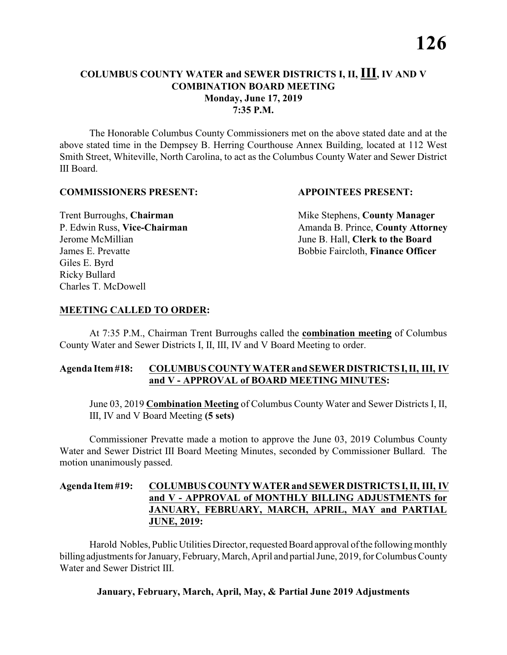### **COLUMBUS COUNTY WATER and SEWER DISTRICTS I, II, III, IV AND V COMBINATION BOARD MEETING Monday, June 17, 2019 7:35 P.M.**

The Honorable Columbus County Commissioners met on the above stated date and at the above stated time in the Dempsey B. Herring Courthouse Annex Building, located at 112 West Smith Street, Whiteville, North Carolina, to act as the Columbus County Water and Sewer District III Board.

### **COMMISSIONERS PRESENT: APPOINTEES PRESENT:**

Giles E. Byrd Ricky Bullard Charles T. McDowell

**Trent Burroughs, Chairman** Mike Stephens, **County Manager** P. Edwin Russ, Vice-Chairman Amanda B. Prince, County Attorney Jerome McMillian June B. Hall, **Clerk to the Board** James E. Prevatte Bobbie Faircloth, **Finance Officer**

### **MEETING CALLED TO ORDER:**

At 7:35 P.M., Chairman Trent Burroughs called the **combination meeting** of Columbus County Water and Sewer Districts I, II, III, IV and V Board Meeting to order.

### **Agenda Item #18: COLUMBUS COUNTY WATER and SEWER DISTRICTS I, II, III, IV and V - APPROVAL of BOARD MEETING MINUTES:**

June 03, 2019 **Combination Meeting** of Columbus County Water and Sewer Districts I, II, III, IV and V Board Meeting **(5 sets)**

Commissioner Prevatte made a motion to approve the June 03, 2019 Columbus County Water and Sewer District III Board Meeting Minutes, seconded by Commissioner Bullard. The motion unanimously passed.

### **Agenda Item #19: COLUMBUS COUNTY WATER and SEWER DISTRICTS I, II, III, IV and V - APPROVAL of MONTHLY BILLING ADJUSTMENTS for JANUARY, FEBRUARY, MARCH, APRIL, MAY and PARTIAL JUNE, 2019:**

Harold Nobles, Public Utilities Director, requested Board approval of the following monthly billing adjustments for January, February, March, April and partial June, 2019, for Columbus County Water and Sewer District III.

### **January, February, March, April, May, & Partial June 2019 Adjustments**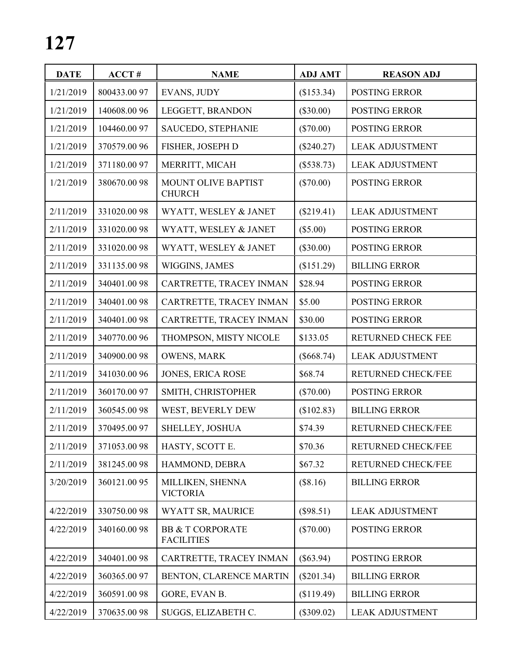| <b>DATE</b> | ACCT#        | <b>NAME</b>                                      | <b>ADJ AMT</b> | <b>REASON ADJ</b>         |
|-------------|--------------|--------------------------------------------------|----------------|---------------------------|
| 1/21/2019   | 800433.0097  | EVANS, JUDY                                      | (\$153.34)     | POSTING ERROR             |
| 1/21/2019   | 140608.0096  | LEGGETT, BRANDON                                 | $(\$30.00)$    | POSTING ERROR             |
| 1/21/2019   | 104460.00 97 | SAUCEDO, STEPHANIE                               | $(\$70.00)$    | POSTING ERROR             |
| 1/21/2019   | 370579.0096  | FISHER, JOSEPH D                                 | (\$240.27)     | <b>LEAK ADJUSTMENT</b>    |
| 1/21/2019   | 371180.0097  | MERRITT, MICAH                                   | $(\$538.73)$   | <b>LEAK ADJUSTMENT</b>    |
| 1/21/2019   | 380670.0098  | MOUNT OLIVE BAPTIST<br><b>CHURCH</b>             | $(\$70.00)$    | <b>POSTING ERROR</b>      |
| 2/11/2019   | 331020.0098  | WYATT, WESLEY & JANET                            | (\$219.41)     | <b>LEAK ADJUSTMENT</b>    |
| 2/11/2019   | 331020.0098  | WYATT, WESLEY & JANET                            | $(\$5.00)$     | POSTING ERROR             |
| 2/11/2019   | 331020.0098  | WYATT, WESLEY & JANET                            | $(\$30.00)$    | POSTING ERROR             |
| 2/11/2019   | 331135.0098  | WIGGINS, JAMES                                   | (\$151.29)     | <b>BILLING ERROR</b>      |
| 2/11/2019   | 340401.0098  | CARTRETTE, TRACEY INMAN                          | \$28.94        | POSTING ERROR             |
| 2/11/2019   | 340401.0098  | CARTRETTE, TRACEY INMAN                          | \$5.00         | POSTING ERROR             |
| 2/11/2019   | 340401.0098  | CARTRETTE, TRACEY INMAN                          | \$30.00        | POSTING ERROR             |
| 2/11/2019   | 340770.0096  | THOMPSON, MISTY NICOLE                           | \$133.05       | RETURNED CHECK FEE        |
| 2/11/2019   | 340900.0098  | <b>OWENS, MARK</b>                               | $(\$668.74)$   | <b>LEAK ADJUSTMENT</b>    |
| 2/11/2019   | 341030.0096  | <b>JONES, ERICA ROSE</b>                         | \$68.74        | RETURNED CHECK/FEE        |
| 2/11/2019   | 360170.0097  | SMITH, CHRISTOPHER                               | $(\$70.00)$    | POSTING ERROR             |
| 2/11/2019   | 360545.0098  | WEST, BEVERLY DEW                                | (\$102.83)     | <b>BILLING ERROR</b>      |
| 2/11/2019   | 370495.0097  | SHELLEY, JOSHUA                                  | \$74.39        | <b>RETURNED CHECK/FEE</b> |
| 2/11/2019   | 371053.0098  | HASTY, SCOTT E.                                  | \$70.36        | RETURNED CHECK/FEE        |
| 2/11/2019   | 381245.0098  | HAMMOND, DEBRA                                   | \$67.32        | RETURNED CHECK/FEE        |
| 3/20/2019   | 360121.0095  | MILLIKEN, SHENNA<br><b>VICTORIA</b>              | (\$8.16)       | <b>BILLING ERROR</b>      |
| 4/22/2019   | 330750.0098  | WYATT SR, MAURICE                                | (\$98.51)      | <b>LEAK ADJUSTMENT</b>    |
| 4/22/2019   | 340160.0098  | <b>BB &amp; T CORPORATE</b><br><b>FACILITIES</b> | $(\$70.00)$    | <b>POSTING ERROR</b>      |
| 4/22/2019   | 340401.0098  | CARTRETTE, TRACEY INMAN                          | $(\$63.94)$    | <b>POSTING ERROR</b>      |
| 4/22/2019   | 360365.00 97 | BENTON, CLARENCE MARTIN                          | $(\$201.34)$   | <b>BILLING ERROR</b>      |
| 4/22/2019   | 360591.0098  | GORE, EVAN B.                                    | (\$119.49)     | <b>BILLING ERROR</b>      |
| 4/22/2019   | 370635.0098  | SUGGS, ELIZABETH C.                              | $(\$309.02)$   | <b>LEAK ADJUSTMENT</b>    |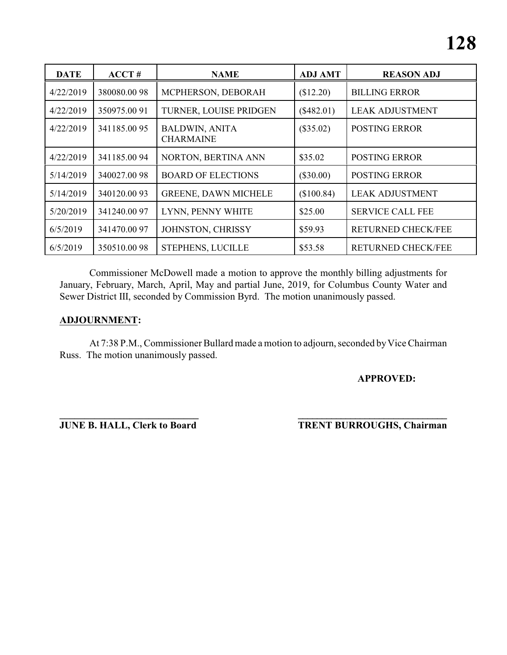| <b>DATE</b> | ACCT#       | <b>NAME</b>                               | <b>ADJ AMT</b> | <b>REASON ADJ</b>         |
|-------------|-------------|-------------------------------------------|----------------|---------------------------|
| 4/22/2019   | 380080.0098 | MCPHERSON, DEBORAH                        | (\$12.20)      | <b>BILLING ERROR</b>      |
| 4/22/2019   | 350975.0091 | TURNER, LOUISE PRIDGEN                    | $(\$482.01)$   | <b>LEAK ADJUSTMENT</b>    |
| 4/22/2019   | 341185.0095 | <b>BALDWIN, ANITA</b><br><b>CHARMAINE</b> | $(\$35.02)$    | <b>POSTING ERROR</b>      |
| 4/22/2019   | 341185.0094 | NORTON, BERTINA ANN                       | \$35.02        | <b>POSTING ERROR</b>      |
| 5/14/2019   | 340027.0098 | <b>BOARD OF ELECTIONS</b>                 | $(\$30.00)$    | <b>POSTING ERROR</b>      |
| 5/14/2019   | 340120.0093 | <b>GREENE, DAWN MICHELE</b>               | (\$100.84)     | <b>LEAK ADJUSTMENT</b>    |
| 5/20/2019   | 341240.0097 | LYNN, PENNY WHITE                         | \$25.00        | <b>SERVICE CALL FEE</b>   |
| 6/5/2019    | 341470.0097 | JOHNSTON, CHRISSY                         | \$59.93        | <b>RETURNED CHECK/FEE</b> |
| 6/5/2019    | 350510.0098 | <b>STEPHENS, LUCILLE</b>                  | \$53.58        | <b>RETURNED CHECK/FEE</b> |

Commissioner McDowell made a motion to approve the monthly billing adjustments for January, February, March, April, May and partial June, 2019, for Columbus County Water and Sewer District III, seconded by Commission Byrd. The motion unanimously passed.

### **ADJOURNMENT:**

At 7:38 P.M., Commissioner Bullard made a motion to adjourn, seconded by Vice Chairman Russ. The motion unanimously passed.

### **APPROVED:**

**\_\_\_\_\_\_\_\_\_\_\_\_\_\_\_\_\_\_\_\_\_\_\_\_\_\_\_\_ \_\_\_\_\_\_\_\_\_\_\_\_\_\_\_\_\_\_\_\_\_\_\_\_\_\_\_\_\_\_\_**

**JUNE B. HALL, Clerk to Board TRENT BURROUGHS, Chairman**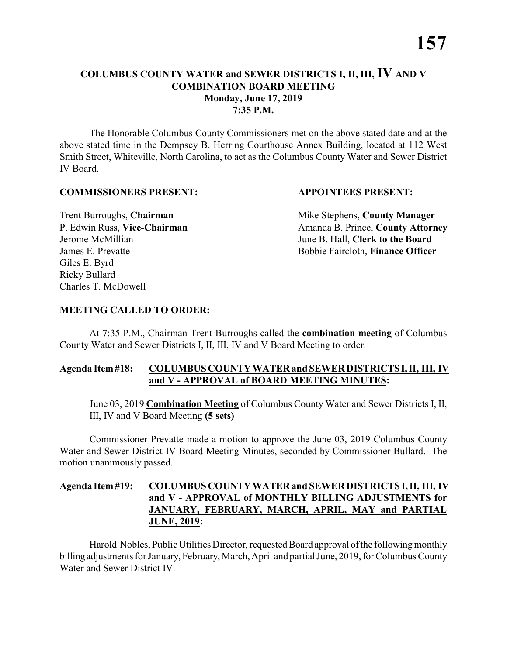### **COLUMBUS COUNTY WATER and SEWER DISTRICTS I, II, III, IV AND V COMBINATION BOARD MEETING Monday, June 17, 2019 7:35 P.M.**

The Honorable Columbus County Commissioners met on the above stated date and at the above stated time in the Dempsey B. Herring Courthouse Annex Building, located at 112 West Smith Street, Whiteville, North Carolina, to act as the Columbus County Water and Sewer District IV Board.

### **COMMISSIONERS PRESENT: APPOINTEES PRESENT:**

Giles E. Byrd Ricky Bullard Charles T. McDowell

**Trent Burroughs, Chairman** Mike Stephens, **County Manager** P. Edwin Russ, Vice-Chairman Amanda B. Prince, County Attorney Jerome McMillian June B. Hall, **Clerk to the Board** James E. Prevatte Bobbie Faircloth, **Finance Officer**

### **MEETING CALLED TO ORDER:**

At 7:35 P.M., Chairman Trent Burroughs called the **combination meeting** of Columbus County Water and Sewer Districts I, II, III, IV and V Board Meeting to order.

### **Agenda Item #18: COLUMBUS COUNTY WATER and SEWER DISTRICTS I, II, III, IV and V - APPROVAL of BOARD MEETING MINUTES:**

June 03, 2019 **Combination Meeting** of Columbus County Water and Sewer Districts I, II, III, IV and V Board Meeting **(5 sets)**

Commissioner Prevatte made a motion to approve the June 03, 2019 Columbus County Water and Sewer District IV Board Meeting Minutes, seconded by Commissioner Bullard. The motion unanimously passed.

### **Agenda Item #19: COLUMBUS COUNTY WATER and SEWER DISTRICTS I, II, III, IV and V - APPROVAL of MONTHLY BILLING ADJUSTMENTS for JANUARY, FEBRUARY, MARCH, APRIL, MAY and PARTIAL JUNE, 2019:**

Harold Nobles, Public Utilities Director, requested Board approval of the following monthly billing adjustments for January, February, March, April and partial June, 2019, for Columbus County Water and Sewer District IV.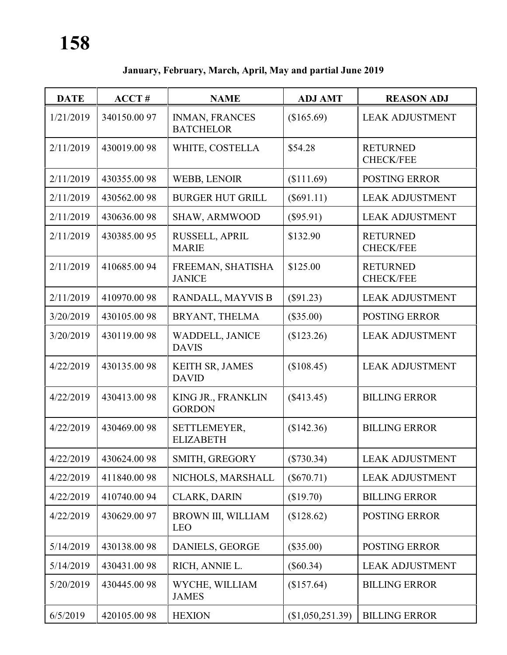# **January, February, March, April, May and partial June 2019**

| <b>DATE</b> | ACCT#       | <b>NAME</b>                               | <b>ADJ AMT</b>   | <b>REASON ADJ</b>                   |
|-------------|-------------|-------------------------------------------|------------------|-------------------------------------|
| 1/21/2019   | 340150.0097 | <b>INMAN, FRANCES</b><br><b>BATCHELOR</b> | (\$165.69)       | <b>LEAK ADJUSTMENT</b>              |
| 2/11/2019   | 430019.0098 | WHITE, COSTELLA                           | \$54.28          | <b>RETURNED</b><br><b>CHECK/FEE</b> |
| 2/11/2019   | 430355.0098 | WEBB, LENOIR                              | (\$111.69)       | <b>POSTING ERROR</b>                |
| 2/11/2019   | 430562.0098 | <b>BURGER HUT GRILL</b>                   | $(\$691.11)$     | <b>LEAK ADJUSTMENT</b>              |
| 2/11/2019   | 430636.0098 | SHAW, ARMWOOD                             | (\$95.91)        | <b>LEAK ADJUSTMENT</b>              |
| 2/11/2019   | 430385.0095 | RUSSELL, APRIL<br><b>MARIE</b>            | \$132.90         | <b>RETURNED</b><br><b>CHECK/FEE</b> |
| 2/11/2019   | 410685.0094 | FREEMAN, SHATISHA<br><b>JANICE</b>        | \$125.00         | <b>RETURNED</b><br><b>CHECK/FEE</b> |
| 2/11/2019   | 410970.0098 | RANDALL, MAYVIS B                         | $(\$91.23)$      | <b>LEAK ADJUSTMENT</b>              |
| 3/20/2019   | 430105.0098 | BRYANT, THELMA                            | (\$35.00)        | <b>POSTING ERROR</b>                |
| 3/20/2019   | 430119.0098 | <b>WADDELL, JANICE</b><br><b>DAVIS</b>    | (\$123.26)       | <b>LEAK ADJUSTMENT</b>              |
| 4/22/2019   | 430135.0098 | KEITH SR, JAMES<br><b>DAVID</b>           | (\$108.45)       | <b>LEAK ADJUSTMENT</b>              |
| 4/22/2019   | 430413.0098 | KING JR., FRANKLIN<br><b>GORDON</b>       | $(\$413.45)$     | <b>BILLING ERROR</b>                |
| 4/22/2019   | 430469.0098 | SETTLEMEYER,<br><b>ELIZABETH</b>          | (\$142.36)       | <b>BILLING ERROR</b>                |
| 4/22/2019   | 430624.0098 | SMITH, GREGORY                            | $(\$730.34)$     | <b>LEAK ADJUSTMENT</b>              |
| 4/22/2019   | 411840.0098 | NICHOLS, MARSHALL                         | $(\$670.71)$     | <b>LEAK ADJUSTMENT</b>              |
| 4/22/2019   | 410740.0094 | <b>CLARK, DARIN</b>                       | (\$19.70)        | <b>BILLING ERROR</b>                |
| 4/22/2019   | 430629.0097 | BROWN III, WILLIAM<br><b>LEO</b>          | \$128.62)        | <b>POSTING ERROR</b>                |
| 5/14/2019   | 430138.0098 | DANIELS, GEORGE                           | $(\$35.00)$      | <b>POSTING ERROR</b>                |
| 5/14/2019   | 430431.0098 | RICH, ANNIE L.                            | $(\$60.34)$      | <b>LEAK ADJUSTMENT</b>              |
| 5/20/2019   | 430445.0098 | WYCHE, WILLIAM<br><b>JAMES</b>            | (\$157.64)       | <b>BILLING ERROR</b>                |
| 6/5/2019    | 420105.0098 | <b>HEXION</b>                             | (\$1,050,251.39) | <b>BILLING ERROR</b>                |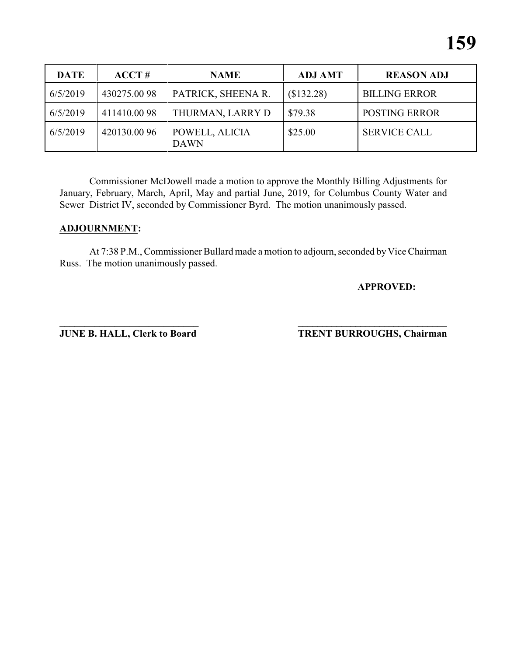| <b>DATE</b> | $ACCT \#$   | <b>NAME</b>                   | <b>ADJ AMT</b> | <b>REASON ADJ</b>    |
|-------------|-------------|-------------------------------|----------------|----------------------|
| 6/5/2019    | 430275.0098 | PATRICK, SHEENA R.            | (\$132.28)     | <b>BILLING ERROR</b> |
| 6/5/2019    | 411410.0098 | THURMAN, LARRY D              | \$79.38        | <b>POSTING ERROR</b> |
| 6/5/2019    | 420130.0096 | POWELL, ALICIA<br><b>DAWN</b> | \$25.00        | <b>SERVICE CALL</b>  |

Commissioner McDowell made a motion to approve the Monthly Billing Adjustments for January, February, March, April, May and partial June, 2019, for Columbus County Water and Sewer District IV, seconded by Commissioner Byrd. The motion unanimously passed.

### **ADJOURNMENT:**

At 7:38 P.M., Commissioner Bullard made a motion to adjourn, seconded by Vice Chairman Russ. The motion unanimously passed.

### **APPROVED:**

**\_\_\_\_\_\_\_\_\_\_\_\_\_\_\_\_\_\_\_\_\_\_\_\_\_\_\_\_ \_\_\_\_\_\_\_\_\_\_\_\_\_\_\_\_\_\_\_\_\_\_\_\_\_\_\_\_\_\_\_ JUNE B. HALL, Clerk to Board TRENT BURROUGHS, Chairman**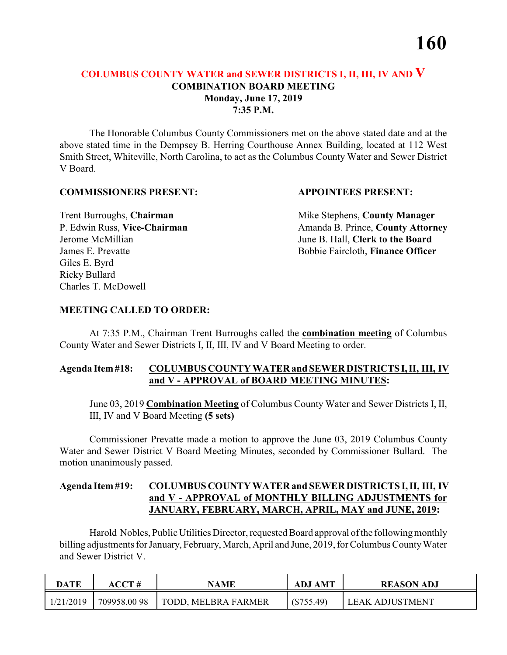### **COLUMBUS COUNTY WATER and SEWER DISTRICTS I, II, III, IV AND V COMBINATION BOARD MEETING Monday, June 17, 2019 7:35 P.M.**

The Honorable Columbus County Commissioners met on the above stated date and at the above stated time in the Dempsey B. Herring Courthouse Annex Building, located at 112 West Smith Street, Whiteville, North Carolina, to act as the Columbus County Water and Sewer District V Board.

### **COMMISSIONERS PRESENT: APPOINTEES PRESENT:**

Giles E. Byrd Ricky Bullard Charles T. McDowell

**Trent Burroughs, Chairman** Mike Stephens, **County Manager** P. Edwin Russ, Vice-Chairman Amanda B. Prince, County Attorney Jerome McMillian June B. Hall, **Clerk to the Board** James E. Prevatte Bobbie Faircloth, **Finance Officer**

### **MEETING CALLED TO ORDER:**

At 7:35 P.M., Chairman Trent Burroughs called the **combination meeting** of Columbus County Water and Sewer Districts I, II, III, IV and V Board Meeting to order.

### **Agenda Item #18: COLUMBUS COUNTY WATER and SEWER DISTRICTS I, II, III, IV and V - APPROVAL of BOARD MEETING MINUTES:**

June 03, 2019 **Combination Meeting** of Columbus County Water and Sewer Districts I, II, III, IV and V Board Meeting **(5 sets)**

Commissioner Prevatte made a motion to approve the June 03, 2019 Columbus County Water and Sewer District V Board Meeting Minutes, seconded by Commissioner Bullard. The motion unanimously passed.

### **Agenda Item #19: COLUMBUS COUNTY WATER and SEWER DISTRICTS I, II, III, IV and V - APPROVAL of MONTHLY BILLING ADJUSTMENTS for JANUARY, FEBRUARY, MARCH, APRIL, MAY and JUNE, 2019:**

Harold Nobles, Public Utilities Director, requested Board approval of the following monthly billing adjustments for January, February, March, April and June, 2019, for Columbus County Water and Sewer District V.

| <b>DATE</b> | ACCT #      | NAME                | <b>ADJ AMT</b> | <b>REASON ADJ</b>      |
|-------------|-------------|---------------------|----------------|------------------------|
| 1/21/2019   | 709958.0098 | TODD, MELBRA FARMER | $(\$755.49)$   | <b>LEAK ADJUSTMENT</b> |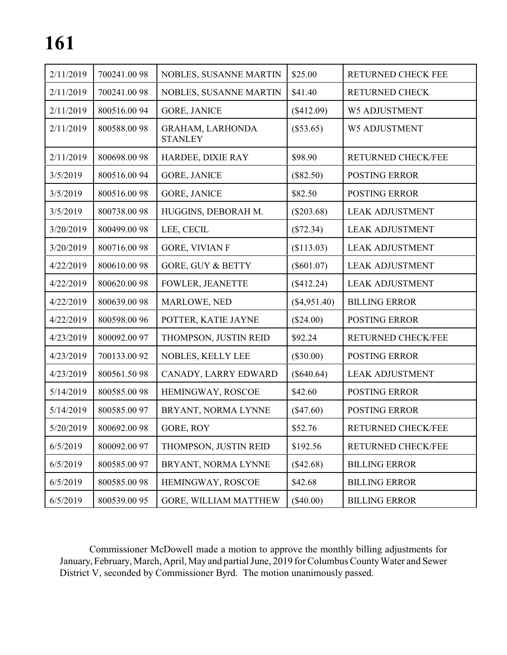| 2/11/2019 | 700241.0098  | NOBLES, SUSANNE MARTIN                    | \$25.00        | RETURNED CHECK FEE        |
|-----------|--------------|-------------------------------------------|----------------|---------------------------|
| 2/11/2019 | 700241.0098  | NOBLES, SUSANNE MARTIN                    | \$41.40        | <b>RETURNED CHECK</b>     |
| 2/11/2019 | 800516.0094  | <b>GORE, JANICE</b>                       | (\$412.09)     | <b>W5 ADJUSTMENT</b>      |
| 2/11/2019 | 800588.0098  | <b>GRAHAM, LARHONDA</b><br><b>STANLEY</b> | $(\$53.65)$    | W5 ADJUSTMENT             |
| 2/11/2019 | 800698.0098  | HARDEE, DIXIE RAY                         | \$98.90        | RETURNED CHECK/FEE        |
| 3/5/2019  | 800516.0094  | <b>GORE, JANICE</b>                       | (\$82.50)      | <b>POSTING ERROR</b>      |
| 3/5/2019  | 800516.0098  | <b>GORE, JANICE</b>                       | \$82.50        | <b>POSTING ERROR</b>      |
| 3/5/2019  | 800738.0098  | HUGGINS, DEBORAH M.                       | $(\$203.68)$   | <b>LEAK ADJUSTMENT</b>    |
| 3/20/2019 | 800499.0098  | LEE, CECIL                                | (\$72.34)      | <b>LEAK ADJUSTMENT</b>    |
| 3/20/2019 | 800716.0098  | <b>GORE, VIVIAN F</b>                     | (\$113.03)     | <b>LEAK ADJUSTMENT</b>    |
| 4/22/2019 | 800610.0098  | <b>GORE, GUY &amp; BETTY</b>              | $(\$601.07)$   | <b>LEAK ADJUSTMENT</b>    |
| 4/22/2019 | 800620.0098  | <b>FOWLER, JEANETTE</b>                   | (\$412.24)     | <b>LEAK ADJUSTMENT</b>    |
| 4/22/2019 | 800639.0098  | MARLOWE, NED                              | $(\$4,951.40)$ | <b>BILLING ERROR</b>      |
| 4/22/2019 | 800598.0096  | POTTER, KATIE JAYNE                       | (\$24.00)      | <b>POSTING ERROR</b>      |
| 4/23/2019 | 800092.00 97 | THOMPSON, JUSTIN REID                     | \$92.24        | RETURNED CHECK/FEE        |
| 4/23/2019 | 700133.0092  | NOBLES, KELLY LEE                         | $(\$30.00)$    | POSTING ERROR             |
| 4/23/2019 | 800561.5098  | CANADY, LARRY EDWARD                      | $(\$640.64)$   | <b>LEAK ADJUSTMENT</b>    |
| 5/14/2019 | 800585.0098  | HEMINGWAY, ROSCOE                         | \$42.60        | <b>POSTING ERROR</b>      |
| 5/14/2019 | 800585.0097  | BRYANT, NORMA LYNNE                       | $(\$47.60)$    | <b>POSTING ERROR</b>      |
| 5/20/2019 | 800692.0098  | GORE, ROY                                 | \$52.76        | <b>RETURNED CHECK/FEE</b> |
| 6/5/2019  | 800092.0097  | THOMPSON, JUSTIN REID                     | \$192.56       | RETURNED CHECK/FEE        |
| 6/5/2019  | 800585.0097  | BRYANT, NORMA LYNNE                       | $(\$42.68)$    | <b>BILLING ERROR</b>      |
| 6/5/2019  | 800585.0098  | HEMINGWAY, ROSCOE                         | \$42.68        | <b>BILLING ERROR</b>      |
| 6/5/2019  | 800539.0095  | GORE, WILLIAM MATTHEW                     | $(\$40.00)$    | <b>BILLING ERROR</b>      |

Commissioner McDowell made a motion to approve the monthly billing adjustments for January, February, March, April, May and partial June, 2019 for Columbus County Water and Sewer District V, seconded by Commissioner Byrd. The motion unanimously passed.